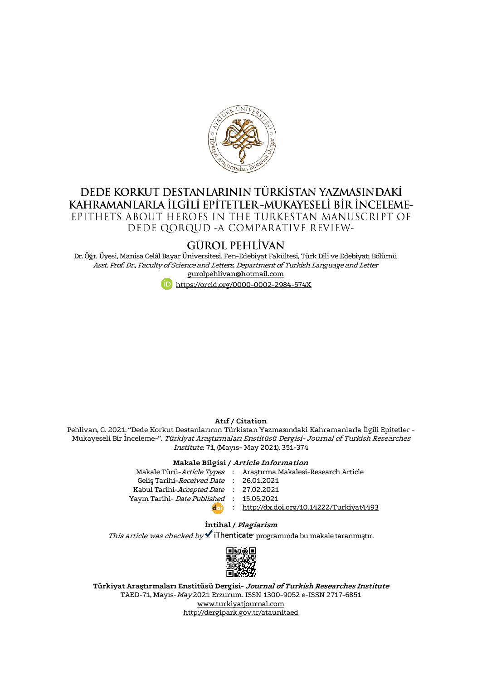

## DEDE KORKUT DESTANLARININ TÜRKİSTAN YAZMASINDAKİ KAHRAMANLARLA İLGİLİ EPİTETLER-MUKAYESELİ BİR İNCELEME-EPITHETS ABOUT HEROES IN THE TURKESTAN MANUSCRIPT OF DEDE QORQUD - A COMPARATIVE REVIEW-

# **GÜROL PEHLÍVAN**

Dr. Öğr. Üyesi, Manisa Celâl Bayar Üniversitesi, Fen-Edebiyat Fakültesi, Türk Dili ve Edebiyatı Bölümü Asst. Prof. Dr., Faculty of Science and Letters, Department of Turkish Language and Letter [gurolpehlivan@hotmail.com](mailto:gurolpehlivan@hotmail.com)



#### **Atıf / Citation**

Pehlivan, G. 2021. "Dede Korkut Destanlarının Türkistan Yazmasındaki Kahramanlarla İlgili Epitetler - Mukayeseli Bir İnceleme-". Türkiyat Araştırmaları Enstitüsü Dergisi- Journal of Turkish Researches Institute. 71, (Mayıs- May 2021). 351-374

#### **Makale Bilgisi / Article Information**

| Makale Türü- <i>Article Types</i> : Arastırma Makalesi-Research Article |
|-------------------------------------------------------------------------|
| Gelis Tarihi-Received Date: 26.01.2021                                  |
| Kabul Tarihi-Accepted Date : 27.02.2021                                 |
| Yayın Tarihi- Date Published: 15.05.2021                                |
| : http://dx.doi.org/10.14222/Turkiyat4493                               |
|                                                                         |

#### **İntihal / Plagiarism**

This article was checked by  $\checkmark$  iThenticate programında bu makale taranmıştır.



**Türkiyat Araştırmaları Enstitüsü Dergisi- Journal of Turkish Researches Institute** TAED-71, Mayıs-May 2021 Erzurum. ISSN 1300-9052 e-ISSN 2717-6851 [www.turkiyatjournal.com](http://www.turkiyatjournal.com/) <http://dergipark.gov.tr/ataunitaed>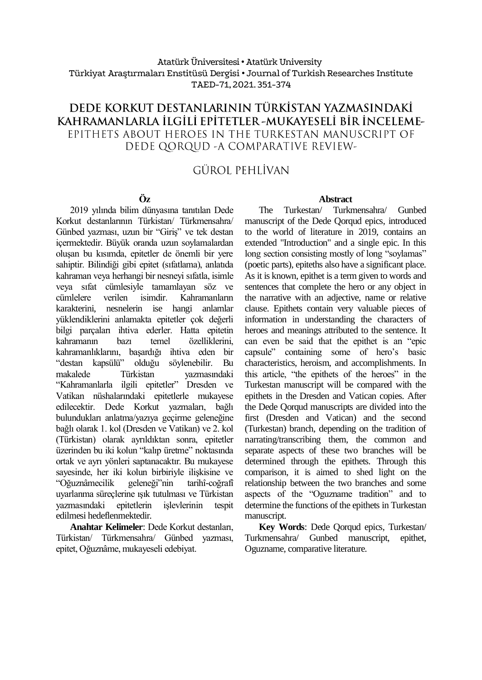## Atatürk Üniversitesi• Atatürk University Türkiyat Araştırmaları Enstitüsü Dergisi • Journal of Turkish Researches Institute TAED-71, 2021. 351-374

## DEDE KORKUT DESTANLARININ TÜRKİSTAN YAZMASINDAKİ KAHRAMANLARLA İLGİLİ EPİTETLER -MUKAYESELİ BİR İNCELEME-EPITHETS ABOUT HEROES IN THE TURKESTAN MANUSCRIPT OF DEDE QORQUD - A COMPARATIVE REVIEW-

# **GÜROL PEHLİVAN**

## **Öz**

2019 yılında bilim dünyasına tanıtılan Dede Korkut destanlarının Türkistan/ Türkmensahra/ Günbed yazması, uzun bir "Giriş" ve tek destan içermektedir. Büyük oranda uzun soylamalardan oluşan bu kısımda, epitetler de önemli bir yere sahiptir. Bilindiği gibi epitet (sıfatlama), anlatıda kahraman veya herhangi bir nesneyi sıfatla, isimle veya sıfat cümlesiyle tamamlayan söz ve cümlelere verilen isimdir. Kahramanların karakterini, nesnelerin ise hangi anlamlar yüklendiklerini anlamakta epitetler çok değerli bilgi parçaları ihtiva ederler. Hatta epitetin kahramanın bazı temel özelliklerini, kahramanlıklarını, başardığı ihtiva eden bir "destan kapsülü" olduğu söylenebilir. Bu makalede Türkistan yazmasındaki "Kahramanlarla ilgili epitetler" Dresden ve Vatikan nüshalarındaki epitetlerle mukayese edilecektir. Dede Korkut yazmaları, bağlı bulundukları anlatma/yazıya geçirme geleneğine bağlı olarak 1. kol (Dresden ve Vatikan) ve 2. kol (Türkistan) olarak ayrıldıktan sonra, epitetler üzerinden bu iki kolun "kalıp üretme" noktasında ortak ve ayrı yönleri saptanacaktır. Bu mukayese sayesinde, her iki kolun birbiriyle ilişkisine ve "Oğuznâmecilik geleneği"nin tarihî-coğrafî uyarlanma süreçlerine ışık tutulması ve Türkistan yazmasındaki epitetlerin işlevlerinin tespit edilmesi hedeflenmektedir.

**Anahtar Kelimeler**: Dede Korkut destanları, Türkistan/ Türkmensahra/ Günbed yazması, epitet, Oğuznâme, mukayeseli edebiyat.

#### **Abstract**

The Turkestan/ Turkmensahra/ Gunbed manuscript of the Dede Qorqud epics, introduced to the world of literature in 2019, contains an extended "Introduction" and a single epic. In this long section consisting mostly of long "soylamas" (poetic parts), epiteths also have a significant place. As it is known, epithet is a term given to words and sentences that complete the hero or any object in the narrative with an adjective, name or relative clause. Epithets contain very valuable pieces of information in understanding the characters of heroes and meanings attributed to the sentence. It can even be said that the epithet is an "epic capsule" containing some of hero's basic characteristics, heroism, and accomplishments. In this article, "the epithets of the heroes" in the Turkestan manuscript will be compared with the epithets in the Dresden and Vatican copies. After the Dede Qorqud manuscripts are divided into the first (Dresden and Vatican) and the second (Turkestan) branch, depending on the tradition of narrating/transcribing them, the common and separate aspects of these two branches will be determined through the epithets. Through this comparison, it is aimed to shed light on the relationship between the two branches and some aspects of the "Oguzname tradition" and to determine the functions of the epithets in Turkestan manuscript.

**Key Words**: Dede Qorqud epics, Turkestan/ Turkmensahra/ Gunbed manuscript, epithet, Oguzname, comparative literature.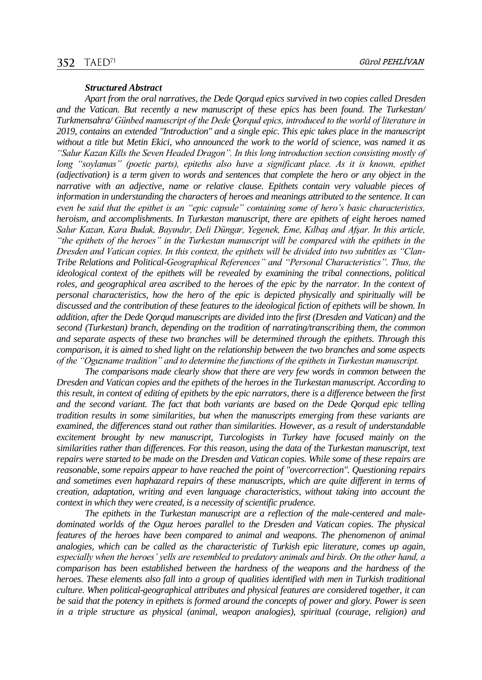#### *Structured Abstract*

*Apart from the oral narratives, the Dede Qorqud epics survived in two copies called Dresden and the Vatican. But recently a new manuscript of these epics has been found. The Turkestan/ Turkmensahra/ Günbed manuscript of the Dede Qorqud epics, introduced to the world of literature in 2019, contains an extended "Introduction" and a single epic. This epic takes place in the manuscript without a title but Metin Ekici, who announced the work to the world of science, was named it as "Salur Kazan Kills the Seven Headed Dragon". In this long introduction section consisting mostly of long "soylamas" (poetic parts), epiteths also have a significant place. As it is known, epithet (adjectivation) is a term given to words and sentences that complete the hero or any object in the narrative with an adjective, name or relative clause. Epithets contain very valuable pieces of information in understanding the characters of heroes and meanings attributed to the sentence. It can even be said that the epithet is an "epic capsule" containing some of hero's basic characteristics, heroism, and accomplishments. In Turkestan manuscript, there are epithets of eight heroes named Salur Kazan, Kara Budak, Bayındır, Deli Düngar, Yegenek, Eme, Kılbaş and Afşar. In this article, "the epithets of the heroes" in the Turkestan manuscript will be compared with the epithets in the Dresden and Vatican copies. In this context, the epithets will be divided into two subtitles as "Clan-Tribe Relations and Political-Geographical References" and "Personal Characteristics". Thus, the ideological context of the epithets will be revealed by examining the tribal connections, political roles, and geographical area ascribed to the heroes of the epic by the narrator. In the context of personal characteristics, how the hero of the epic is depicted physically and spiritually will be discussed and the contribution of these features to the ideological fiction of epithets will be shown. In addition, after the Dede Qorqud manuscripts are divided into the first (Dresden and Vatican) and the second (Turkestan) branch, depending on the tradition of narrating/transcribing them, the common and separate aspects of these two branches will be determined through the epithets. Through this comparison, it is aimed to shed light on the relationship between the two branches and some aspects of the "Oguzname tradition" and to determine the functions of the epithets in Turkestan manuscript.* 

*The comparisons made clearly show that there are very few words in common between the Dresden and Vatican copies and the epithets of the heroes in the Turkestan manuscript. According to this result, in context of editing of epithets by the epic narrators, there is a difference between the first and the second variant. The fact that both variants are based on the Dede Qorqud epic telling tradition results in some similarities, but when the manuscripts emerging from these variants are examined, the differences stand out rather than similarities. However, as a result of understandable excitement brought by new manuscript, Turcologists in Turkey have focused mainly on the similarities rather than differences. For this reason, using the data of the Turkestan manuscript, text repairs were started to be made on the Dresden and Vatican copies. While some of these repairs are reasonable, some repairs appear to have reached the point of "overcorrection". Questioning repairs and sometimes even haphazard repairs of these manuscripts, which are quite different in terms of creation, adaptation, writing and even language characteristics, without taking into account the context in which they were created, is a necessity of scientific prudence.*

*The epithets in the Turkestan manuscript are a reflection of the male-centered and maledominated worlds of the Oguz heroes parallel to the Dresden and Vatican copies. The physical features of the heroes have been compared to animal and weapons. The phenomenon of animal analogies, which can be called as the characteristic of Turkish epic literature, comes up again, especially when the heroes' yells are resembled to predatory animals and birds. On the other hand, a comparison has been established between the hardness of the weapons and the hardness of the heroes. These elements also fall into a group of qualities identified with men in Turkish traditional culture. When political-geographical attributes and physical features are considered together, it can be said that the potency in epithets is formed around the concepts of power and glory. Power is seen in a triple structure as physical (animal, weapon analogies), spiritual (courage, religion) and*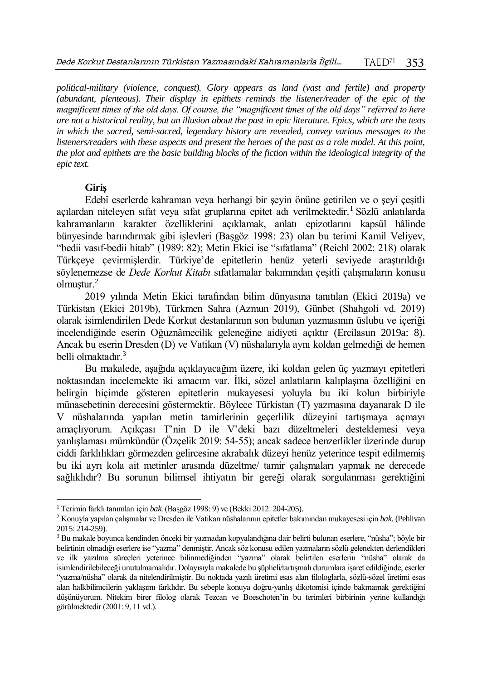*political-military (violence, conquest). Glory appears as land (vast and fertile) and property (abundant, plenteous). Their display in epithets reminds the listener/reader of the epic of the magnificent times of the old days. Of course, the "magnificent times of the old days" referred to here are not a historical reality, but an illusion about the past in epic literature. Epics, which are the texts in which the sacred, semi-sacred, legendary history are revealed, convey various messages to the*  listeners/readers with these aspects and present the heroes of the past as a role model. At this point, *the plot and epithets are the basic building blocks of the fiction within the ideological integrity of the epic text.*

#### **Giriş**

l

Edebî eserlerde kahraman veya herhangi bir şeyin önüne getirilen ve o şeyi çeşitli açılardan niteleyen sıfat veya sıfat gruplarına epitet adı verilmektedir.<sup>1</sup> Sözlü anlatılarda kahramanların karakter özelliklerini açıklamak, anlatı epizotlarını kapsül hâlinde bünyesinde barındırmak gibi işlevleri (Başgöz 1998: 23) olan bu terimi Kamil Veliyev, "bedii vasıf-bedii hitab" (1989: 82); Metin Ekici ise "sıfatlama" (Reichl 2002: 218) olarak Türkçeye çevirmişlerdir. Türkiye'de epitetlerin henüz yeterli seviyede araştırıldığı söylenemezse de *Dede Korkut Kitabı* sıfatlamalar bakımından çeşitli çalışmaların konusu olmuştur.<sup>2</sup>

2019 yılında Metin Ekici tarafından bilim dünyasına tanıtılan (Ekici 2019a) ve Türkistan (Ekici 2019b), Türkmen Sahra (Azmun 2019), Günbet (Shahgoli vd. 2019) olarak isimlendirilen Dede Korkut destanlarının son bulunan yazmasının üslubu ve içeriği incelendiğinde eserin Oğuznâmecilik geleneğine aidiyeti açıktır (Ercilasun 2019a: 8). Ancak bu eserin Dresden (D) ve Vatikan (V) nüshalarıyla aynı koldan gelmediği de hemen belli olmaktadır.<sup>3</sup>

Bu makalede, aşağıda açıklayacağım üzere, iki koldan gelen üç yazmayı epitetleri noktasından incelemekte iki amacım var. İlki, sözel anlatıların kalıplaşma özelliğini en belirgin biçimde gösteren epitetlerin mukayesesi yoluyla bu iki kolun birbiriyle münasebetinin derecesini göstermektir. Böylece Türkistan (T) yazmasına dayanarak D ile V nüshalarında yapılan metin tamirlerinin geçerlilik düzeyini tartışmaya açmayı amaçlıyorum. Açıkçası T'nin D ile V'deki bazı düzeltmeleri desteklemesi veya yanlışlaması mümkündür (Özçelik 2019: 54-55); ancak sadece benzerlikler üzerinde durup ciddi farklılıkları görmezden gelircesine akrabalık düzeyi henüz yeterince tespit edilmemiş bu iki ayrı kola ait metinler arasında düzeltme/ tamir çalışmaları yapmak ne derecede sağlıklıdır? Bu sorunun bilimsel ihtiyatın bir gereği olarak sorgulanması gerektiğini

<sup>1</sup> Terimin farklı tanımları için *bak.* (Başgöz 1998: 9) ve (Bekki 2012: 204-205).

<sup>2</sup> Konuyla yapılan çalışmalar ve Dresden ile Vatikan nüshalarının epitetler bakımından mukayesesi için *bak.* (Pehlivan 2015: 214-259).

<sup>3</sup> Bu makale boyunca kendinden önceki bir yazmadan kopyalandığına dair belirti bulunan eserlere, "nüsha"; böyle bir belirtinin olmadığı eserlere ise "yazma" denmiştir. Ancak söz konusu edilen yazmaların sözlü gelenekten derlendikleri ve ilk yazılma süreçleri yeterince bilinmediğinden "yazma" olarak belirtilen eserlerin "nüsha" olarak da isimlendirilebileceği unutulmamalıdır. Dolayısıyla makalede bu şüpheli/tartışmalı durumlara işaret edildiğinde, eserler "yazma/nüsha" olarak da nitelendirilmiştir. Bu noktada yazılı üretimi esas alan filologlarla, sözlü-sözel üretimi esas alan halkbilimcilerin yaklaşımı farklıdır. Bu sebeple konuya doğru-yanlış dikotomisi içinde bakmamak gerektiğini düşünüyorum. Nitekim birer filolog olarak Tezcan ve Boeschoten'in bu terimleri birbirinin yerine kullandığı görülmektedir (2001: 9, 11 vd.).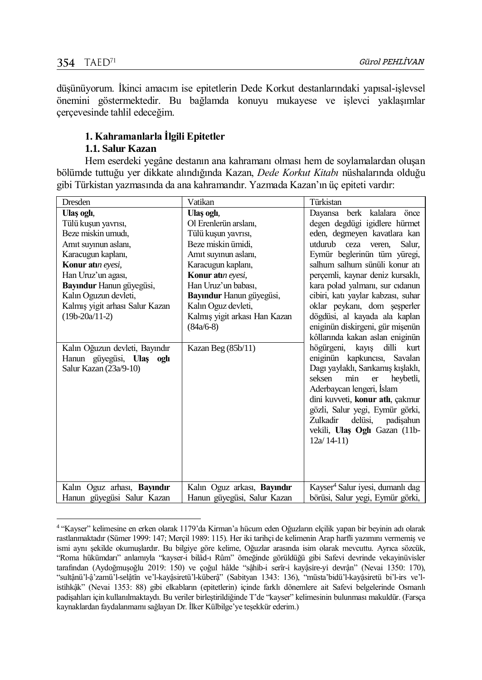$\overline{a}$ 

düşünüyorum. İkinci amacım ise epitetlerin Dede Korkut destanlarındaki yapısal-işlevsel önemini göstermektedir. Bu bağlamda konuyu mukayese ve işlevci yaklaşımlar çerçevesinde tahlil edeceğim.

## **1. Kahramanlarla İlgili Epitetler**

## **1.1. Salur Kazan**

Hem eserdeki yegâne destanın ana kahramanı olması hem de soylamalardan oluşan bölümde tuttuğu yer dikkate alındığında Kazan, *Dede Korkut Kitabı* nüshalarında olduğu gibi Türkistan yazmasında da ana kahramandır. Yazmada Kazan'ın üç epiteti vardır:

| Dresden                            | Vatikan                            | Türkistan                                    |
|------------------------------------|------------------------------------|----------------------------------------------|
| Ulas ogli,                         | Ulas oglī.                         | Dayansa berk kalalara önce                   |
| Tülü kuşun yavrısı,                | Ol Erenlerün arslanı,              | degen degdügi igidlere hürmet                |
| Beze miskin umudi,                 | Tülü kuşun yavrısı,                | eden, degmeyen kavatlara kan                 |
| Amit suyinun aslanı,               | Beze miskin ümidi.                 | utdurub ceza veren,<br>Salur.                |
| Karacugun kaplanı,                 | Amit suyinun aslanı,               | Eymür beglerinün tüm yüregi,                 |
| Konur atun evesi,                  | Karacugun kaplanı,                 | salhum salhum sünüli konur atı               |
| Han Uruz'un agası,                 | Konur atm eyesi,                   | perçemli, kaynar deniz kursaklı,             |
| Bayındur Hanun güyegüsi,           | Han Uruz'un babası.                | kara polad yalmanı, sur cıdanun              |
| Kalın Oguzun devleti,              | Bayındur Hanun güyegüsi,           | cibiri, katı yaylar kabzası, suhar           |
| Kalmış yigit arhası Salur Kazan    | Kalın Oguz devleti,                | oklar peykanı, dom şeşperler                 |
| $(19b-20a/11-2)$                   | Kalmış yigit arkası Han Kazan      | dögdüsi, al kayada ala kaplan                |
|                                    | $(84a/6-8)$                        | eniginün diskirgeni, gür mişenün             |
|                                    |                                    | kôllarında kakan aslan eniginün              |
| Kalın Oğuzun devleti, Bayındır     | Kazan Beg $(85b/11)$               | högürgeni, kayış<br>dilli kurt               |
| Hanun güyegüsi, Ulaş oglı          |                                    | eniginün kapkuncısı, Savalan                 |
| Salur Kazan (23a/9-10)             |                                    | Dagı yaylaklı, Sarıkamış kışlaklı,           |
|                                    |                                    | min<br>seksen<br>heybetli,<br>er             |
|                                    |                                    | Aderbaycan lengeri, İslam                    |
|                                    |                                    | dini kuvveti, konur atlı, çakmur             |
|                                    |                                    | gözli, Salur yegi, Eymür görki,              |
|                                    |                                    | Zulkadir<br>delüsi,<br>padişahun             |
|                                    |                                    | vekili, Ulaş Oglı Gazan (11b-                |
|                                    |                                    | $12a/14-11$                                  |
|                                    |                                    |                                              |
|                                    |                                    |                                              |
|                                    |                                    |                                              |
| Kalın Oguz arhası, <b>Bayındır</b> | Kalın Oguz arkası, <b>Bayındır</b> | Kayser <sup>4</sup> Salur iyesi, dumanlı dag |
| Hanun güyegüsi Salur Kazan         | Hanun güyegüsi, Salur Kazan        | börüsi, Salur yegi, Eymür görki,             |

<sup>4</sup> "Kayser" kelimesine en erken olarak 1179'da Kirman'a hücum eden Oğuzların elçilik yapan bir beyinin adı olarak rastlanmaktadır (Sümer 1999: 147; Merçil 1989: 115). Her iki tarihçi de kelimenin Arap harfli yazımını vermemiş ve ismi aynı şekilde okumuşlardır. Bu bilgiye göre kelime, Oğuzlar arasında isim olarak mevcuttu. Ayrıca sözcük, "Roma hükümdarı" anlamıyla "kayser-i bilâd-ı Rûm" örneğinde görüldüğü gibi Safevi devrinde vekayinüvisler tarafından (Aydoğmuşoğlu 2019: 150) ve çoğul hâlde "sậhib-i serîr-i kayậsire-yi devrận" (Nevai 1350: 170), "sultânü'l-ậ'zamü'l-selâtîn ve'l-kayâsiretü'l-küberậ" (Sabityan 1343: 136), "müsta'bidü'l-kayâsiretü bi'l-irs ve'listihkậk" (Nevai 1353: 88) gibi elkabların (epitetlerin) içinde farklı dönemlere ait Safevi belgelerinde Osmanlı padişahları için kullanılmaktaydı. Bu veriler birleştirildiğinde T'de "kayser" kelimesinin bulunması makuldür. (Farsça kaynaklardan faydalanmamı sağlayan Dr. İlker Külbilge'ye teşekkür ederim.)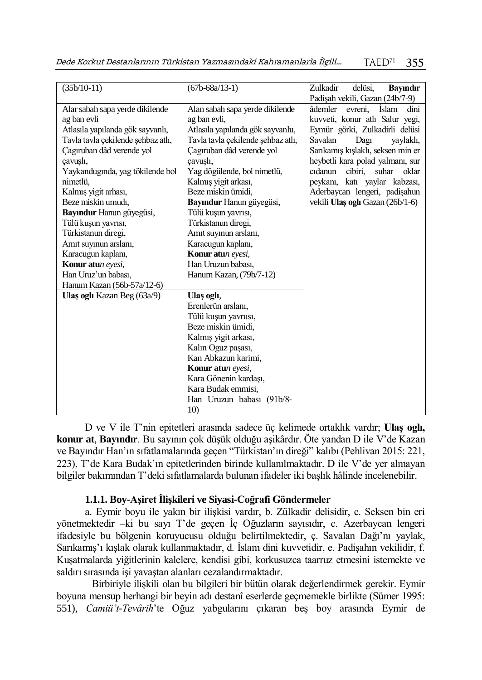Dede Korkut Destanlarının Türkistan Yazmasındaki Kahramanlarla İlgili…  $T A E D<sup>71</sup>$ 355

| $(35b/10-11)$                      | $(67b - 68a/13-1)$                 | delüsi.<br>Zulkadir<br><b>Bayındır</b>     |
|------------------------------------|------------------------------------|--------------------------------------------|
|                                    |                                    | Padişah vekili, Gazan (24b/7-9)            |
| Alar sabah sapa yerde dikilende    | Alan sabah sapa yerde dikilende    | âdemler<br><b>İslam</b><br>dini<br>evreni, |
| ag ban evli                        | ag ban evli,                       | kuvveti, konur atlı Salur yegi,            |
| Atlasıla yapılanda gök sayvanlı,   | Atlasıla yapılanda gök sayvanlu,   | Eymür görki, Zulkadırlı delüsi             |
| Tavla tavla çekilende şehbaz atlı, | Tavla tavla çekilende sehbaz atlı, | Savalan<br>Dagi<br>yaylaklı,               |
| Cagiruban dâd verende yol          | Cagiruban dâd verende yol          | Sarıkamış kışlaklı, seksen min er          |
| cavuşlı,                           | cavusli,                           | heybetli kara polad yalmanı, sur           |
| Yaykandugında, yag tökilende bol   | Yag dögülende, bol nimetlü,        | cıdanun<br>cibiri.<br>suhar<br>oklar       |
| nimetlü.                           | Kalmış yigit arkası,               | peykanı, katı yaylar kabzası,              |
| Kalmış yigit arhası,               | Beze miskin ümidi,                 | Aderbaycan lengeri, padişahun              |
| Beze miskin umudı.                 | Bayındur Hanun güyegüsi,           | vekili Ulaş oglı Gazan (26b/1-6)           |
| Bayındur Hanun güyegüsi,           | Tülü kuşun yavrısı,                |                                            |
| Tülü kuşun yavrısı,                | Türkistanun diregi,                |                                            |
| Türkistanun diregi,                | Amit suyinun arslanı,              |                                            |
| Amit suyinun arslanı,              | Karacugun kaplanı,                 |                                            |
| Karacugun kaplanı,                 | Konur atun evesi,                  |                                            |
| Konur atun eyesi,                  | Han Uruzun babası,                 |                                            |
| Han Uruz'un babası,                | Hanum Kazan, (79b/7-12)            |                                            |
| Hanum Kazan (56b-57a/12-6)         |                                    |                                            |
| Ulas ogli Kazan Beg (63a/9)        | Ulas ogli,                         |                                            |
|                                    | Erenlerün arslanı,                 |                                            |
|                                    | Tülü kuşun yavrusı,                |                                            |
|                                    | Beze miskin ümidi,                 |                                            |
|                                    | Kalmış yigit arkası,               |                                            |
|                                    | Kalın Oguz paşası,                 |                                            |
|                                    | Kan Abkazun karimi,                |                                            |
|                                    | Konur atun eyesi,                  |                                            |
|                                    | Kara Gönenin kardaşı,              |                                            |
|                                    | Kara Budak emmisi.                 |                                            |
|                                    | Han Uruzun babası (91b/8-          |                                            |
|                                    | 10 <sub>0</sub>                    |                                            |

D ve V ile T'nin epitetleri arasında sadece üç kelimede ortaklık vardır; **Ulaş oglı, konur at**, **Bayındır**. Bu sayının çok düşük olduğu aşikârdır. Öte yandan D ile V'de Kazan ve Bayındır Han'ın sıfatlamalarında geçen "Türkistan'ın direği" kalıbı (Pehlivan 2015: 221, 223), T'de Kara Budak'ın epitetlerinden birinde kullanılmaktadır. D ile V'de yer almayan bilgiler bakımından T'deki sıfatlamalarda bulunan ifadeler iki başlık hâlinde incelenebilir.

## **1.1.1. Boy-Aşiret İlişkileri ve Siyasi-Coğrafi Göndermeler**

a. Eymir boyu ile yakın bir ilişkisi vardır, b. Zülkadir delisidir, c. Seksen bin eri yönetmektedir –ki bu sayı T'de geçen İç Oğuzların sayısıdır, c. Azerbaycan lengeri ifadesiyle bu bölgenin koruyucusu olduğu belirtilmektedir, ç. Savalan Dağı'nı yaylak, Sarıkamış'ı kışlak olarak kullanmaktadır, d. İslam dini kuvvetidir, e. Padişahın vekilidir, f. Kuşatmalarda yiğitlerinin kalelere, kendisi gibi, korkusuzca taarruz etmesini istemekte ve saldırı sırasında işi yavaştan alanları cezalandırmaktadır.

Birbiriyle ilişkili olan bu bilgileri bir bütün olarak değerlendirmek gerekir. Eymir boyuna mensup herhangi bir beyin adı destanî eserlerde geçmemekle birlikte (Sümer 1995: 551), *Camiü't-Tevârih*'te Oğuz yabgularını çıkaran beş boy arasında Eymir de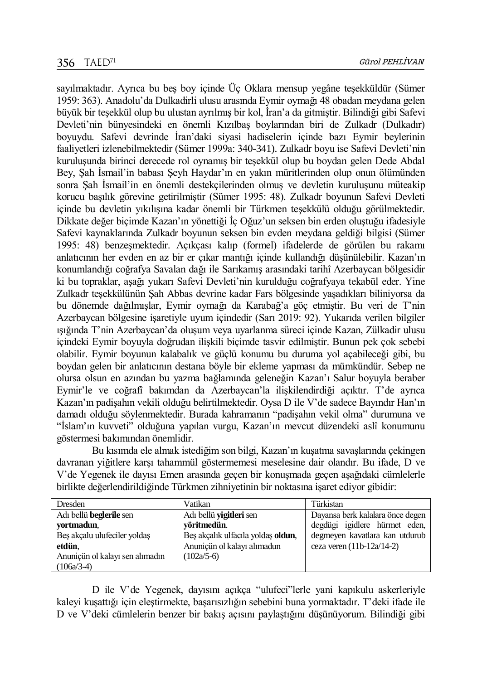sayılmaktadır. Ayrıca bu beş boy içinde Üç Oklara mensup yegâne teşekküldür (Sümer 1959: 363). Anadolu'da Dulkadirli ulusu arasında Eymir oymağı 48 obadan meydana gelen büyük bir teşekkül olup bu ulustan ayrılmış bir kol, İran'a da gitmiştir. Bilindiği gibi Safevi Devleti'nin bünyesindeki en önemli Kızılbaş boylarından biri de Zulkadr (Dulkadır) boyuydu. Safevi devrinde İran'daki siyasi hadiselerin içinde bazı Eymir beylerinin faaliyetleri izlenebilmektedir (Sümer 1999a: 340-341). Zulkadr boyu ise Safevi Devleti'nin kuruluşunda birinci derecede rol oynamış bir teşekkül olup bu boydan gelen Dede Abdal Bey, Şah İsmail'in babası Şeyh Haydar'ın en yakın müritlerinden olup onun ölümünden sonra Şah İsmail'in en önemli destekçilerinden olmuş ve devletin kuruluşunu müteakip korucu başılık görevine getirilmiştir (Sümer 1995: 48). Zulkadr boyunun Safevi Devleti içinde bu devletin yıkılışına kadar önemli bir Türkmen teşekkülü olduğu görülmektedir. Dikkate değer biçimde Kazan'ın yönettiği İç Oğuz'un seksen bin erden oluştuğu ifadesiyle Safevi kaynaklarında Zulkadr boyunun seksen bin evden meydana geldiği bilgisi (Sümer 1995: 48) benzeşmektedir. Açıkçası kalıp (formel) ifadelerde de görülen bu rakamı anlatıcının her evden en az bir er çıkar mantığı içinde kullandığı düşünülebilir. Kazan'ın konumlandığı coğrafya Savalan dağı ile Sarıkamış arasındaki tarihî Azerbaycan bölgesidir ki bu topraklar, aşağı yukarı Safevi Devleti'nin kurulduğu coğrafyaya tekabül eder. Yine Zulkadr teşekkülünün Şah Abbas devrine kadar Fars bölgesinde yaşadıkları biliniyorsa da bu dönemde dağılmışlar, Eymir oymağı da Karabağ'a göç etmiştir. Bu veri de T'nin Azerbaycan bölgesine işaretiyle uyum içindedir (Sarı 2019: 92). Yukarıda verilen bilgiler ışığında T'nin Azerbaycan'da oluşum veya uyarlanma süreci içinde Kazan, Zülkadir ulusu içindeki Eymir boyuyla doğrudan ilişkili biçimde tasvir edilmiştir. Bunun pek çok sebebi olabilir. Eymir boyunun kalabalık ve güçlü konumu bu duruma yol açabileceği gibi, bu boydan gelen bir anlatıcının destana böyle bir ekleme yapması da mümkündür. Sebep ne olursa olsun en azından bu yazma bağlamında geleneğin Kazan'ı Salur boyuyla beraber Eymir'le ve coğrafî bakımdan da Azerbaycan'la ilişkilendirdiği açıktır. T'de ayrıca Kazan'ın padişahın vekili olduğu belirtilmektedir. Oysa D ile V'de sadece Bayındır Han'ın damadı olduğu söylenmektedir. Burada kahramanın "padişahın vekil olma" durumuna ve "İslam'ın kuvveti" olduğuna yapılan vurgu, Kazan'ın mevcut düzendeki aslî konumunu göstermesi bakımından önemlidir.

Bu kısımda ele almak istediğim son bilgi, Kazan'ın kuşatma savaşlarında çekingen davranan yiğitlere karşı tahammül göstermemesi meselesine dair olandır. Bu ifade, D ve V'de Yegenek ile dayısı Emen arasında geçen bir konuşmada geçen aşağıdaki cümlelerle birlikte değerlendirildiğinde Türkmen zihniyetinin bir noktasına işaret ediyor gibidir:

| Dresden                         | Vatikan                            | Türkistan                        |
|---------------------------------|------------------------------------|----------------------------------|
| Adı bellü beglerile sen         | Adı bellü <b>vigitleri</b> sen     | Dayansa berk kalalara önce degen |
| vortmadun,                      | vöritmedün.                        | degdügi igidlere hürmet eden,    |
| Bes akcalu ulufeciler yoldas    | Beş akçalık ulfacıla yoldaş oldun, | degmeyen kavatlara kan utdurub   |
| etdün.                          | Anuniçün ol kalayı alımadun        | ceza veren $(11b-12a/14-2)$      |
| Anunicün ol kalayı sen alımadın | $(102a/5-6)$                       |                                  |
| $(106a/3-4)$                    |                                    |                                  |

D ile V'de Yegenek, dayısını açıkça "ulufeci"lerle yani kapıkulu askerleriyle kaleyi kuşattığı için eleştirmekte, başarısızlığın sebebini buna yormaktadır. T'deki ifade ile D ve V'deki cümlelerin benzer bir bakış açısını paylaştığını düşünüyorum. Bilindiği gibi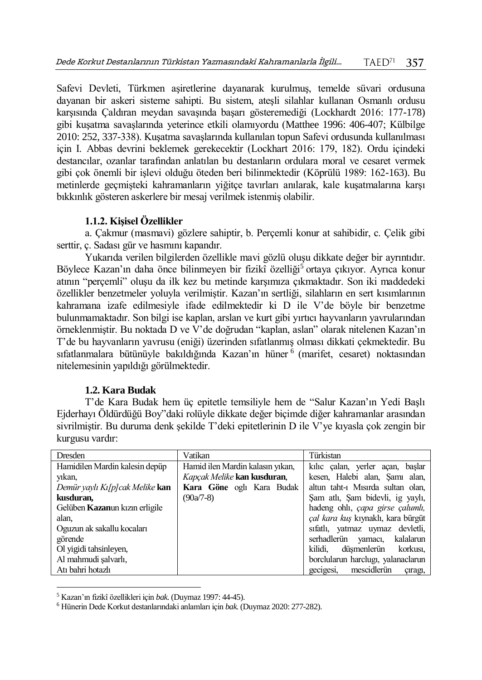Safevi Devleti, Türkmen aşiretlerine dayanarak kurulmuş, temelde süvari ordusuna dayanan bir askeri sisteme sahipti. Bu sistem, ateşli silahlar kullanan Osmanlı ordusu karşısında Çaldıran meydan savaşında başarı gösteremediği (Lockhardt 2016: 177-178) gibi kuşatma savaşlarında yeterince etkili olamıyordu (Matthee 1996: 406-407; Külbilge 2010: 252, 337-338). Kuşatma savaşlarında kullanılan topun Safevi ordusunda kullanılması için I. Abbas devrini beklemek gerekecektir (Lockhart 2016: 179, 182). Ordu içindeki destancılar, ozanlar tarafından anlatılan bu destanların ordulara moral ve cesaret vermek gibi çok önemli bir işlevi olduğu öteden beri bilinmektedir (Köprülü 1989: 162-163). Bu metinlerde geçmişteki kahramanların yiğitçe tavırları anılarak, kale kuşatmalarına karşı bıkkınlık gösteren askerlere bir mesaj verilmek istenmiş olabilir.

## **1.1.2. Kişisel Özellikler**

a. Çakmur (masmavi) gözlere sahiptir, b. Perçemli konur at sahibidir, c. Çelik gibi serttir, ç. Sadası gür ve hasmını kapandır.

Yukarıda verilen bilgilerden özellikle mavi gözlü oluşu dikkate değer bir ayrıntıdır. Böylece Kazan'ın daha önce bilinmeyen bir fizikî özelliği<sup>5</sup> ortaya çıkıyor. Ayrıca konur atının "perçemli" oluşu da ilk kez bu metinde karşımıza çıkmaktadır. Son iki maddedeki özellikler benzetmeler yoluyla verilmiştir. Kazan'ın sertliği, silahların en sert kısımlarının kahramana izafe edilmesiyle ifade edilmektedir ki D ile V'de böyle bir benzetme bulunmamaktadır. Son bilgi ise kaplan, arslan ve kurt gibi yırtıcı hayvanların yavrularından örneklenmiştir. Bu noktada D ve V'de doğrudan "kaplan, aslan" olarak nitelenen Kazan'ın T'de bu hayvanların yavrusu (eniği) üzerinden sıfatlanmış olması dikkati çekmektedir. Bu sıfatlanmalara bütünüyle bakıldığında Kazan'ın hüner 6 (marifet, cesaret) noktasından nitelemesinin yapıldığı görülmektedir.

## **1.2. Kara Budak**

T'de Kara Budak hem üç epitetle temsiliyle hem de "Salur Kazan'ın Yedi Başlı Ejderhayı Öldürdüğü Boy"daki rolüyle dikkate değer biçimde diğer kahramanlar arasından sivrilmiştir. Bu duruma denk şekilde T'deki epitetlerinin D ile V'ye kıyasla çok zengin bir kurgusu vardır:

| Dresden                                | Vatikan                          | Türkistan                          |
|----------------------------------------|----------------------------------|------------------------------------|
| Hamidilen Mardin kalesin depüp         | Hamid ilen Mardin kalasın yıkan, | kilic calan, yerler acan, baslar   |
| yıkan,                                 | Kapcak Melike kan kusduran.      | kesen, Halebi alan, Şamı alan,     |
| Demür yaylı Kı[p] cak Melike kan       | Kara Göne oglı Kara Budak        | altun taht-1 Misirda sultan olan,  |
| kusduran,                              | $(90a/7-8)$                      | Şam atlı, Şam bidevli, ig yaylı,   |
| Gelüben <b>Kazan</b> un kızın erligile |                                  | hadeng ohli, capa girse çalumlı,   |
| alan,                                  |                                  | çal kara kuş kıynaklı, kara bürgüt |
| Oguzun ak sakallu kocaları             |                                  | sifatli, yatmaz uymaz devletli,    |
| görende                                |                                  | serhadlerün yamacı, kalalarun      |
| Ol yigidi tahsinleyen,                 |                                  | kilidi.<br>düsmenlerün<br>korkusi. |
| Al mahmudi salvarlı,                   |                                  | borclularun harclugı, yalanaclarun |
| Atı bahri hotazlı                      |                                  | gecigesi, mescidlerün<br>çıragı,   |

<sup>5</sup> Kazan'ın fizikî özellikleri için *bak.* (Duymaz 1997: 44-45).

 $\overline{a}$ 

<sup>6</sup> Hünerin Dede Korkut destanlarındaki anlamları için *bak.* (Duymaz 2020: 277-282).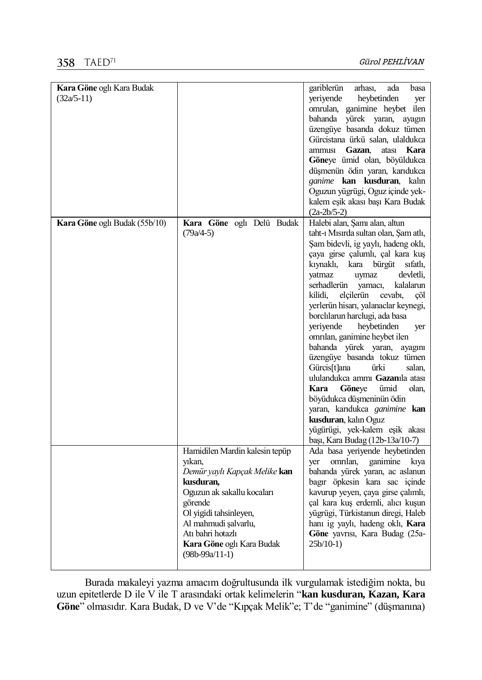# 358 TAED<sup>71</sup>

| Kara Göne oglı Kara Budak     |                                | gariblerün<br>arhasi,<br>ada<br>basa   |
|-------------------------------|--------------------------------|----------------------------------------|
| $(32a/5-11)$                  |                                | yeriyende<br>heybetinden<br>yer        |
|                               |                                | omrulan, ganimine heybet ilen          |
|                               |                                | bahanda yürek yaran, ayagın            |
|                               |                                | üzengüye basanda dokuz tümen           |
|                               |                                | Gürcistana ürkü salan, ulaldukca       |
|                               |                                | ammusi Gazan,<br>atası<br>Kara         |
|                               |                                |                                        |
|                               |                                | Göneye ümid olan, böyüldukca           |
|                               |                                | düşmenün ödin yaran, karıdukca         |
|                               |                                | ganime kan kusduran, kalın             |
|                               |                                | Oguzun yügrügi, Oguz içinde yek-       |
|                               |                                | kalem eşik akası başı Kara Budak       |
|                               |                                | $(2a-2b/5-2)$                          |
| Kara Göne oglı Budak (55b/10) | Kara Göne oglı Delü Budak      | Halebi alan, Şamı alan, altun          |
|                               | $(79a/4-5)$                    | taht-ı Mısırda sultan olan, Şam atlı,  |
|                               |                                |                                        |
|                               |                                | Şam bidevli, ig yaylı, hadeng oklı,    |
|                               |                                | çaya girse çalumlı, çal kara kuş       |
|                               |                                | kıynaklı,<br>kara bürgüt<br>sifatli,   |
|                               |                                | yatmaz<br>uymaz<br>devletli,           |
|                               |                                | serhadlerün<br>yamacı,<br>kalalarun    |
|                               |                                | elçilerün<br>kilidi,<br>cevabi,<br>cöl |
|                               |                                | yerlerün hisarı, yalanaclar keynegi,   |
|                               |                                | borclılarun harclugi, ada basa         |
|                               |                                | verivende<br>heybetinden<br>yer        |
|                               |                                | omrılan, ganimine heybet ilen          |
|                               |                                |                                        |
|                               |                                | bahanda yürek yaran, ayagını           |
|                               |                                | üzengüye basanda tokuz tümen           |
|                               |                                | Gürcis[t]ana<br>ürki<br>salan,         |
|                               |                                | ululandukca ammı Gazanıla atası        |
|                               |                                | Göneye<br>Kara<br>ümid<br>olan,        |
|                               |                                | böyüdukca düşmeninün ödin              |
|                               |                                | yaran, karıdukca ganimine kan          |
|                               |                                | kusduran, kalın Oguz                   |
|                               |                                | yügürügi, yek-kalem eşik akası         |
|                               |                                |                                        |
|                               |                                | başı, Kara Budag (12b-13a/10-7)        |
|                               | Hamidilen Mardin kalesin tepüp | Ada basa yeriyende heybetinden         |
|                               | yıkan,                         | ganimine<br>omrilan,<br>yer<br>kiya    |
|                               | Demür yaylı Kapçak Melike kan  | bahanda yürek yaran, ac aslanun        |
|                               | kusduran,                      | bagır öpkesin kara sac içinde          |
|                               | Oguzun ak sakallu kocaları     | kavurup yeyen, çaya girse çalımlı,     |
|                               | görende                        | çal kara kuş erdemli, alıcı kuşun      |
|                               | Ol yigidi tahsinleyen,         | yügrügi, Türkistanun diregi, Haleb     |
|                               | Al mahmudi şalvarlu,           | hanı ig yaylı, hadeng oklı, Kara       |
|                               | Atı bahri hotazlı              | Göne yavrısı, Kara Budag (25a-         |
|                               | Kara Göne oglı Kara Budak      | $25b/10-1)$                            |
|                               |                                |                                        |
|                               | $(98b-99a/11-1)$               |                                        |
|                               |                                |                                        |

Burada makaleyi yazma amacım doğrultusunda ilk vurgulamak istediğim nokta, bu uzun epitetlerde D ile V ile T arasındaki ortak kelimelerin "**kan kusduran, Kazan, Kara Göne**" olmasıdır. Kara Budak, D ve V'de "Kıpçak Melik"e; T'de "ganimine" (düşmanına)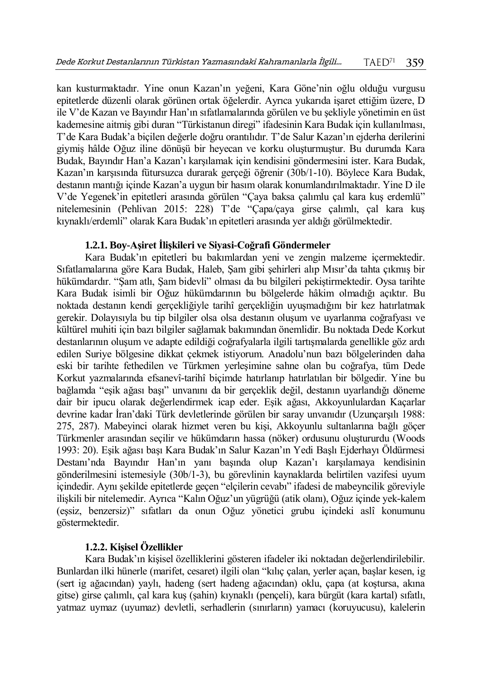kan kusturmaktadır. Yine onun Kazan'ın yeğeni, Kara Göne'nin oğlu olduğu vurgusu epitetlerde düzenli olarak görünen ortak öğelerdir. Ayrıca yukarıda işaret ettiğim üzere, D ile V'de Kazan ve Bayındır Han'ın sıfatlamalarında görülen ve bu şekliyle yönetimin en üst kademesine aitmiş gibi duran "Türkistanun diregi" ifadesinin Kara Budak için kullanılması, T'de Kara Budak'a biçilen değerle doğru orantılıdır. T'de Salur Kazan'ın ejderha derilerini giymiş hâlde Oğuz iline dönüşü bir heyecan ve korku oluşturmuştur. Bu durumda Kara Budak, Bayındır Han'a Kazan'ı karşılamak için kendisini göndermesini ister. Kara Budak, Kazan'ın karşısında fütursuzca durarak gerçeği öğrenir (30b/1-10). Böylece Kara Budak, destanın mantığı içinde Kazan'a uygun bir hasım olarak konumlandırılmaktadır. Yine D ile V'de Yegenek'in epitetleri arasında görülen "Çaya baksa çalımlu çal kara kuş erdemlü" nitelemesinin (Pehlivan 2015: 228) T'de "Çapa/çaya girse çalımlı, çal kara kuş kıynaklı/erdemli" olarak Kara Budak'ın epitetleri arasında yer aldığı görülmektedir.

#### **1.2.1. Boy-Aşiret İlişkileri ve Siyasi-Coğrafi Göndermeler**

Kara Budak'ın epitetleri bu bakımlardan yeni ve zengin malzeme içermektedir. Sıfatlamalarına göre Kara Budak, Haleb, Şam gibi şehirleri alıp Mısır'da tahta çıkmış bir hükümdardır. "Şam atlı, Şam bidevli" olması da bu bilgileri pekiştirmektedir. Oysa tarihte Kara Budak isimli bir Oğuz hükümdarının bu bölgelerde hâkim olmadığı açıktır. Bu noktada destanın kendi gerçekliğiyle tarihî gerçekliğin uyuşmadığını bir kez hatırlatmak gerekir. Dolayısıyla bu tip bilgiler olsa olsa destanın oluşum ve uyarlanma coğrafyası ve kültürel muhiti için bazı bilgiler sağlamak bakımından önemlidir. Bu noktada Dede Korkut destanlarının oluşum ve adapte edildiği coğrafyalarla ilgili tartışmalarda genellikle göz ardı edilen Suriye bölgesine dikkat çekmek istiyorum. Anadolu'nun bazı bölgelerinden daha eski bir tarihte fethedilen ve Türkmen yerleşimine sahne olan bu coğrafya, tüm Dede Korkut yazmalarında efsanevî-tarihî biçimde hatırlanıp hatırlatılan bir bölgedir. Yine bu bağlamda "eşik ağası başı" unvanını da bir gerçeklik değil, destanın uyarlandığı döneme dair bir ipucu olarak değerlendirmek icap eder. Eşik ağası, Akkoyunlulardan Kaçarlar devrine kadar İran'daki Türk devletlerinde görülen bir saray unvanıdır (Uzunçarşılı 1988: 275, 287). Mabeyinci olarak hizmet veren bu kişi, Akkoyunlu sultanlarına bağlı göçer Türkmenler arasından seçilir ve hükümdarın hassa (nöker) ordusunu oluştururdu (Woods 1993: 20). Eşik ağası başı Kara Budak'ın Salur Kazan'ın Yedi Başlı Ejderhayı Öldürmesi Destanı'nda Bayındır Han'ın yanı başında olup Kazan'ı karşılamaya kendisinin gönderilmesini istemesiyle (30b/1-3), bu görevlinin kaynaklarda belirtilen vazifesi uyum içindedir. Aynı şekilde epitetlerde geçen "elçilerin cevabı" ifadesi de mabeyncilik göreviyle ilişkili bir nitelemedir. Ayrıca "Kalın Oğuz'un yügrüğü (atik olanı), Oğuz içinde yek-kalem (eşsiz, benzersiz)" sıfatları da onun Oğuz yönetici grubu içindeki aslî konumunu göstermektedir.

## **1.2.2. Kişisel Özellikler**

Kara Budak'ın kişisel özelliklerini gösteren ifadeler iki noktadan değerlendirilebilir. Bunlardan ilki hünerle (marifet, cesaret) ilgili olan "kılıç çalan, yerler açan, başlar kesen, ig (sert ig ağacından) yaylı, hadeng (sert hadeng ağacından) oklu, çapa (at koştursa, akına gitse) girse çalımlı, çal kara kuş (şahin) kıynaklı (pençeli), kara bürgüt (kara kartal) sıfatlı, yatmaz uymaz (uyumaz) devletli, serhadlerin (sınırların) yamacı (koruyucusu), kalelerin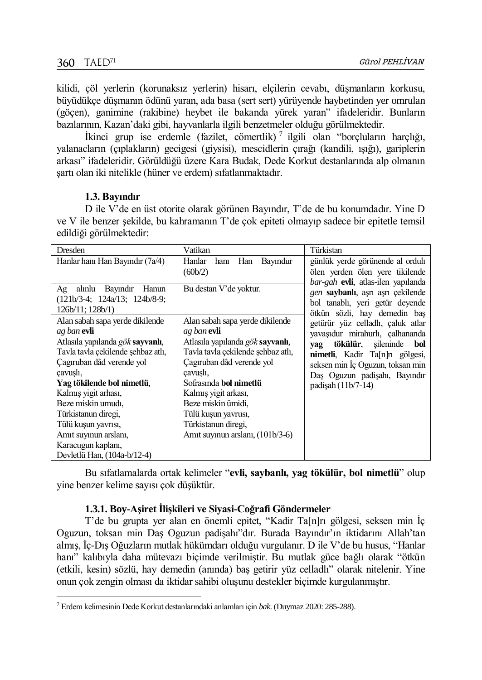$\overline{a}$ 

kilidi, çöl yerlerin (korunaksız yerlerin) hisarı, elçilerin cevabı, düşmanların korkusu, büyüdükçe düşmanın ödünü yaran, ada basa (sert sert) yürüyende haybetinden yer omrulan (göçen), ganimine (rakibine) heybet ile bakanda yürek yaran" ifadeleridir. Bunların bazılarının, Kazan'daki gibi, hayvanlarla ilgili benzetmeler olduğu görülmektedir.

İkinci grup ise erdemle (fazilet, cömertlik)<sup>7</sup> ilgili olan "borçluların harçlığı, yalanacların (çıplakların) gecigesi (giysisi), mescidlerin çırağı (kandili, ışığı), gariplerin arkası" ifadeleridir. Görüldüğü üzere Kara Budak, Dede Korkut destanlarında alp olmanın şartı olan iki nitelikle (hüner ve erdem) sıfatlanmaktadır.

## **1.3. Bayındır**

D ile V'de en üst otorite olarak görünen Bayındır, T'de de bu konumdadır. Yine D ve V ile benzer şekilde, bu kahramanın T'de çok epiteti olmayıp sadece bir epitetle temsil edildiği görülmektedir:

| Dresden                                                                                                                                                                                                                                                                                                                                                                   | Vatikan                                                                                                                                                                                                                                                                                                                     | Türkistan                                                                                                                                                                                                                           |
|---------------------------------------------------------------------------------------------------------------------------------------------------------------------------------------------------------------------------------------------------------------------------------------------------------------------------------------------------------------------------|-----------------------------------------------------------------------------------------------------------------------------------------------------------------------------------------------------------------------------------------------------------------------------------------------------------------------------|-------------------------------------------------------------------------------------------------------------------------------------------------------------------------------------------------------------------------------------|
| Hanlar hani Han Bayındır (7a/4)                                                                                                                                                                                                                                                                                                                                           | Han Bayındur<br>Hanlar<br>hanı<br>(60b/2)                                                                                                                                                                                                                                                                                   | günlük yerde görünende al ordulı<br>ölen yerden ölen yere tikilende                                                                                                                                                                 |
| Ag alınlu Bayındır Hanun<br>$(121b/3-4; 124a/13; 124b/8-9;$<br>126b/11; 128b/1)                                                                                                                                                                                                                                                                                           | Bu destan V'de yoktur.                                                                                                                                                                                                                                                                                                      | bar-gah evli, atlas-ilen yapılanda<br>gen saybanlı, aşrı aşrı çekilende<br>bol tanablı, yeri getür deyende<br>ötkün sözli, hay demedin baş                                                                                          |
| Alan sabah sapa yerde dikilende<br>ag ban evli<br>Atlasıla yapılanda gök sayvanlı,<br>Tavla tavla çekilende şehbaz atlı,<br>Cagiruban dâd verende yol<br>cavusli,<br>Yag tökilende bol nimetlü,<br>Kalmış yigit arhası,<br>Beze miskin umudi,<br>Türkistanun diregi,<br>Tülü kuşun yavrısı,<br>Amit suyinun arslanı,<br>Karacugun kaplanı,<br>Devletlü Han, (104a-b/12-4) | Alan sabah sapa yerde dikilende<br>ag ban evli<br>Atlasıla yapılanda gök sayvanlı,<br>Tavla tavla çekilende şehbaz atlı,<br>Cagiruban dâd verende yol<br>cavusli,<br>Sofrasında bol nimetlü<br>Kalmış yigit arkası,<br>Beze miskin ümidi,<br>Tülü kuşun yavrusı,<br>Türkistanun diregi,<br>Amit suyinun arslanı, (101b/3-6) | getürür yüz celladlı, çaluk atlar<br>yavaşıdur mirahurlı, çalhananda<br>tökülür, sileninde bol<br>yag<br>nimetli, Kadır Ta[n]rı gölgesi,<br>seksen min İç Oguzun, toksan min<br>Daş Oguzun padişahı, Bayındır<br>padişah (11b/7-14) |

Bu sıfatlamalarda ortak kelimeler "**evli, saybanlı, yag tökülür, bol nimetlü**" olup yine benzer kelime sayısı çok düşüktür.

## **1.3.1. Boy-Aşiret İlişkileri ve Siyasi-Coğrafi Göndermeler**

T'de bu grupta yer alan en önemli epitet, "Kadir Ta[n]rı gölgesi, seksen min İç Oguzun, toksan min Daş Oguzun padişahı"dır. Burada Bayındır'ın iktidarını Allah'tan almış, İç-Dış Oğuzların mutlak hükümdarı olduğu vurgulanır. D ile V'de bu husus, "Hanlar hanı" kalıbıyla daha mütevazı biçimde verilmiştir. Bu mutlak güce bağlı olarak "ötkün (etkili, kesin) sözlü, hay demedin (anında) baş getirir yüz celladlı" olarak nitelenir. Yine onun çok zengin olması da iktidar sahibi oluşunu destekler biçimde kurgulanmıştır.

<sup>7</sup> Erdem kelimesinin Dede Korkut destanlarındaki anlamları için *bak.* (Duymaz 2020: 285-288).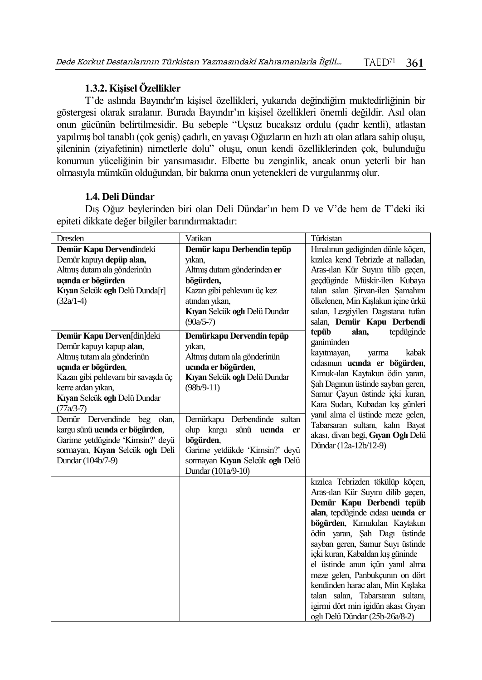## **1.3.2. Kişisel Özellikler**

T'de aslında Bayındır'ın kişisel özellikleri, yukarıda değindiğim muktedirliğinin bir göstergesi olarak sıralanır. Burada Bayındır'ın kişisel özellikleri önemli değildir. Asıl olan onun gücünün belirtilmesidir. Bu sebeple "Uçsuz bucaksız ordulu (çadır kentli), atlastan yapılmış bol tanablı (çok geniş) çadırlı, en yavaşı Oğuzların en hızlı atı olan atlara sahip oluşu, şileninin (ziyafetinin) nimetlerle dolu" oluşu, onun kendi özelliklerinden çok, bulunduğu konumun yüceliğinin bir yansımasıdır. Elbette bu zenginlik, ancak onun yeterli bir han olmasıyla mümkün olduğundan, bir bakıma onun yetenekleri de vurgulanmış olur.

## **1.4. Deli Dündar**

Dış Oğuz beylerinden biri olan Deli Dündar'ın hem D ve V'de hem de T'deki iki epiteti dikkate değer bilgiler barındırmaktadır:

| Dresden                                                                                                                                                                                                                                                  | Vatikan                                                                                                                                                                    | Türkistan                                                                                                                                                                                                                                                                                                                                                                                                                                                                                              |
|----------------------------------------------------------------------------------------------------------------------------------------------------------------------------------------------------------------------------------------------------------|----------------------------------------------------------------------------------------------------------------------------------------------------------------------------|--------------------------------------------------------------------------------------------------------------------------------------------------------------------------------------------------------------------------------------------------------------------------------------------------------------------------------------------------------------------------------------------------------------------------------------------------------------------------------------------------------|
| Demür Kapu Dervendindeki<br>Demür kapuyı depüp alan,<br>Altmış dutam ala gönderinün<br>uçında er bögürden<br>Kıyan Selcük oglı Delü Dunda[r]                                                                                                             | Demür kapu Derbendin tepüp<br>yıkan,<br>Altmış dutam gönderinden er<br>bögürden,<br>Kazan gibi pehlevanı üç kez                                                            | Hınalınun gediginden dünle köçen,<br>kizilca kend Tebrizde at nalladan,<br>Aras-ılan Kür Suyını tilib geçen,<br>geçdüginde Müskir-ilen Kubaya<br>talan salan Sirvan-ilen Samahını                                                                                                                                                                                                                                                                                                                      |
| $(32a/1-4)$                                                                                                                                                                                                                                              | atından yıkan,<br>Kıyan Selcük oglı Delü Dundar<br>$(90a/5-7)$                                                                                                             | ölkelenen, Min Kışlakun içine ürkü<br>salan, Lezgiyilen Dagıstana tufan<br>salan, Demür Kapu Derbendi                                                                                                                                                                                                                                                                                                                                                                                                  |
| Demür Kapu Derven[din]deki<br>Demür kapuyı kapup alan,<br>Altmış tutam ala gönderinün<br>uçında er bögürden,<br>Kazan gibi pehlevanı bir savaşda üç<br>kerre atdan yıkan,<br>Kıyan Selcük oglı Delü Dundar<br>$(77a/3-7)$<br>Demür Dervendinde beg olan, | Demürkapu Dervendin tepüp<br>yıkan,<br>Altmış dutam ala gönderinün<br>ucında er bögürden,<br>Kıyan Selcük oglı Delü Dundar<br>$(98b/9-11)$<br>Demürkapu Derbendinde sultan | alan,<br>tepdüginde<br>tepüb<br>ganiminden<br>kayıtmayan,<br>kabak<br>yarma<br>cıdasınun ucında er bögürden,<br>Kımuk-ılan Kaytakun ödin yaran,<br>Şah Dagınun üstinde sayban geren,<br>Samur Çayun üstinde içki kuran,<br>Kara Sudan, Kubadan kış günleri<br>yanıl alma el üstinde meze gelen,                                                                                                                                                                                                        |
| kargu sünü ucında er bögürden,<br>Garime yetdüginde 'Kimsin?' deyü<br>sormayan, Kıyan Selcük oglı Deli<br>Dundar (104b/7-9)                                                                                                                              | olup kargu<br>sünü ucında<br>er<br>bögürden,<br>Garime yetdükde 'Kimsin?' deyü<br>sormayan Kıyan Selcük oglı Delü<br>Dundar (101a/9-10)                                    | Tabarsaran sultanı, kalın Bayat<br>akası, divan begi, Gıyan Oglı Delü<br>Dündar (12a-12b/12-9)                                                                                                                                                                                                                                                                                                                                                                                                         |
|                                                                                                                                                                                                                                                          |                                                                                                                                                                            | kızılca Tebrizden tökülüp köçen,<br>Aras-ılan Kür Suyını dilib geçen,<br>Demür Kapu Derbendi tepüb<br>alan, tepdüginde cıdası ucında er<br>bögürden, Kımukılan Kaytakun<br>ödin yaran, Şah Dagı üstinde<br>sayban geren, Samur Suyı üstinde<br>içki kuran, Kabaldan kış güninde<br>el üstinde anun içün yanıl alma<br>meze gelen, Panbukçunın on dört<br>kendinden harac alan, Min Kışlaka<br>talan salan, Tabarsaran sultanı,<br>igirmi dört min igidün akası Gıyan<br>oglı Delü Dündar (25b-26a/8-2) |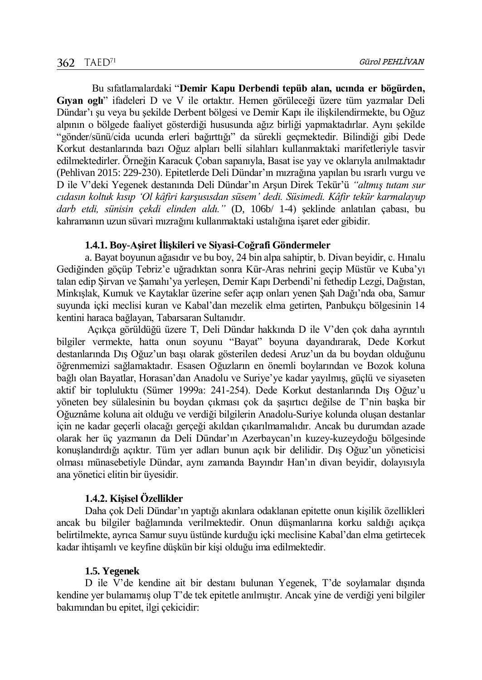Bu sıfatlamalardaki "**Demir Kapu Derbendi tepüb alan, ucında er bögürden, Gıyan oglı**" ifadeleri D ve V ile ortaktır. Hemen görüleceği üzere tüm yazmalar Deli Dündar'ı şu veya bu şekilde Derbent bölgesi ve Demir Kapı ile ilişkilendirmekte, bu Oğuz alpının o bölgede faaliyet gösterdiği hususunda ağız birliği yapmaktadırlar. Aynı şekilde "gönder/sünü/cida ucunda erleri bağırttığı" da sürekli geçmektedir. Bilindiği gibi Dede Korkut destanlarında bazı Oğuz alpları belli silahları kullanmaktaki marifetleriyle tasvir edilmektedirler. Örneğin Karacuk Çoban sapanıyla, Basat ise yay ve oklarıyla anılmaktadır (Pehlivan 2015: 229-230). Epitetlerde Deli Dündar'ın mızrağına yapılan bu ısrarlı vurgu ve D ile V'deki Yegenek destanında Deli Dündar'ın Arşun Direk Tekür'ü *"altmış tutam sur cıdasın koltuk kısıp 'Ol kâfiri karşusısdan süsem' dedi. Süsimedi. Kâfir tekür karmalayup darb etdi, sünisin çekdi elinden aldı."* (D, 106b/ 1-4) şeklinde anlatılan çabası, bu kahramanın uzun süvari mızrağını kullanmaktaki ustalığına işaret eder gibidir.

#### **1.4.1. Boy-Aşiret İlişkileri ve Siyasi-Coğrafi Göndermeler**

a. Bayat boyunun ağasıdır ve bu boy, 24 bin alpa sahiptir, b. Divan beyidir, c. Hınalu Gediğinden göçüp Tebriz'e uğradıktan sonra Kür-Aras nehrini geçip Müstür ve Kuba'yı talan edip Şirvan ve Şamahı'ya yerleşen, Demir Kapı Derbendi'ni fethedip Lezgi, Dağıstan, Minkışlak, Kumuk ve Kaytaklar üzerine sefer açıp onları yenen Şah Dağı'nda oba, Samur suyunda içki meclisi kuran ve Kabal'dan mezelik elma getirten, Panbukçu bölgesinin 14 kentini haraca bağlayan, Tabarsaran Sultanıdır.

Açıkça görüldüğü üzere T, Deli Dündar hakkında D ile V'den çok daha ayrıntılı bilgiler vermekte, hatta onun soyunu "Bayat" boyuna dayandırarak, Dede Korkut destanlarında Dış Oğuz'un başı olarak gösterilen dedesi Aruz'un da bu boydan olduğunu öğrenmemizi sağlamaktadır. Esasen Oğuzların en önemli boylarından ve Bozok koluna bağlı olan Bayatlar, Horasan'dan Anadolu ve Suriye'ye kadar yayılmış, güçlü ve siyaseten aktif bir topluluktu (Sümer 1999a: 241-254). Dede Korkut destanlarında Dış Oğuz'u yöneten bey sülalesinin bu boydan çıkması çok da şaşırtıcı değilse de T'nin başka bir Oğuznâme koluna ait olduğu ve verdiği bilgilerin Anadolu-Suriye kolunda oluşan destanlar için ne kadar geçerli olacağı gerçeği akıldan çıkarılmamalıdır. Ancak bu durumdan azade olarak her üç yazmanın da Deli Dündar'ın Azerbaycan'ın kuzey-kuzeydoğu bölgesinde konuşlandırdığı açıktır. Tüm yer adları bunun açık bir delilidir. Dış Oğuz'un yöneticisi olması münasebetiyle Dündar, aynı zamanda Bayındır Han'ın divan beyidir, dolayısıyla ana yönetici elitin bir üyesidir.

## **1.4.2. Kişisel Özellikler**

Daha çok Deli Dündar'ın yaptığı akınlara odaklanan epitette onun kişilik özellikleri ancak bu bilgiler bağlamında verilmektedir. Onun düşmanlarına korku saldığı açıkça belirtilmekte, ayrıca Samur suyu üstünde kurduğu içki meclisine Kabal'dan elma getirtecek kadar ihtişamlı ve keyfine düşkün bir kişi olduğu ima edilmektedir.

#### **1.5. Yegenek**

D ile V'de kendine ait bir destanı bulunan Yegenek, T'de soylamalar dışında kendine yer bulamamış olup T'de tek epitetle anılmıştır. Ancak yine de verdiği yeni bilgiler bakımından bu epitet, ilgi çekicidir: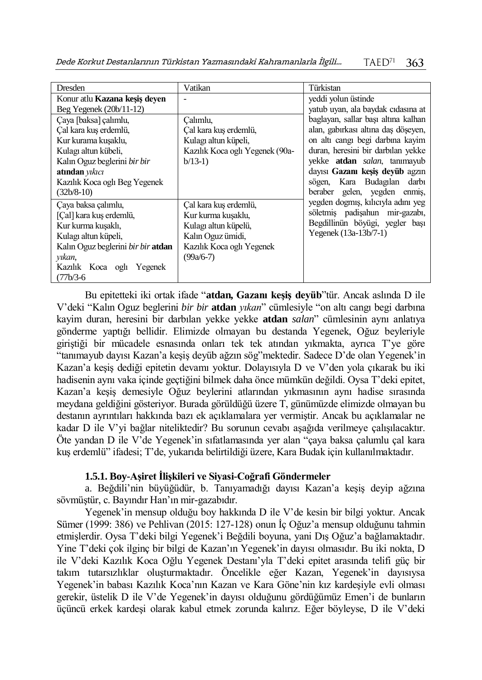| Dresden                              | Vatikan                         | Türkistan                           |
|--------------------------------------|---------------------------------|-------------------------------------|
| Konur atlu <b>Kazana kesis deven</b> |                                 | yeddi yolun üstinde                 |
| Beg Yegenek $(20b/11-12)$            |                                 | yatub uyan, ala baydak cidasina at  |
| Çaya [baksa] çalımlu,                | Calımlu,                        | baglayan, sallar bası altına kalhan |
| Çal kara kuş erdemlü,                | Çal kara kuş erdemlü,           | alan, gabirkası altına daş döşeyen, |
| Kur kurama kuşaklu,                  | Kulagı altun küpeli,            | on altı cangı begi darbına kayim    |
| Kulagı altun kübeli,                 | Kazılık Koca oglı Yegenek (90a- | duran, heresini bir darbılan yekke  |
| Kalın Oguz beglerini bir bir         | $b/13-1)$                       | yekke <b>atdan</b> salan, tanımayub |
| atından yıkıcı                       |                                 | dayısı Gazanı keşiş deyüb agzın     |
| Kazılık Koca oglı Beg Yegenek        |                                 | sögen, Kara Budagılan darbı         |
| $(32b/8-10)$                         |                                 | beraber gelen, yegden enmiş,        |
| Çaya baksa çalımlu,                  | Çal kara kuş erdemlü,           | yegden dogmış, kılıcıyla adını yeg  |
| [Çal] kara kuş erdemlü,              | Kur kurma kusaklu,              | söletmiş padişahun mir-gazabı,      |
| Kur kurma kusaklı,                   | Kulagı altun küpelü,            | Begdillinün böyügi, yegler başı     |
| Kulagi altun küpeli,                 | Kalın Oguz ümidi,               | Yegenek (13a-13b/7-1)               |
| Kalın Oguz beglerini bir bir atdan   | Kazılık Koca oglı Yegenek       |                                     |
| yikan,                               | $(99a/6-7)$                     |                                     |
| Kazilik Koca ogli Yegenek            |                                 |                                     |
| (77b/3-6                             |                                 |                                     |

Bu epitetteki iki ortak ifade "**atdan, Gazanı keşiş deyüb**"tür. Ancak aslında D ile V'deki "Kalın Oguz beglerini *bir bir* **atdan** *yıkan*" cümlesiyle "on altı cangı begi darbına kayim duran, heresini bir darbılan yekke yekke **atdan** *salan*" cümlesinin aynı anlatıya gönderme yaptığı bellidir. Elimizde olmayan bu destanda Yegenek, Oğuz beyleriyle giriştiği bir mücadele esnasında onları tek tek atından yıkmakta, ayrıca T'ye göre "tanımayub dayısı Kazan'a keşiş deyüb ağzın sög"mektedir. Sadece D'de olan Yegenek'in Kazan'a keşiş dediği epitetin devamı yoktur. Dolayısıyla D ve V'den yola çıkarak bu iki hadisenin aynı vaka içinde geçtiğini bilmek daha önce mümkün değildi. Oysa T'deki epitet, Kazan'a keşiş demesiyle Oğuz beylerini atlarından yıkmasının aynı hadise sırasında meydana geldiğini gösteriyor. Burada görüldüğü üzere T, günümüzde elimizde olmayan bu destanın ayrıntıları hakkında bazı ek açıklamalara yer vermiştir. Ancak bu açıklamalar ne kadar D ile V'yi bağlar niteliktedir? Bu sorunun cevabı aşağıda verilmeye çalışılacaktır. Öte yandan D ile V'de Yegenek'in sıfatlamasında yer alan "çaya baksa çalumlu çal kara kuş erdemlü" ifadesi; T'de, yukarıda belirtildiği üzere, Kara Budak için kullanılmaktadır.

## **1.5.1. Boy-Aşiret İlişkileri ve Siyasi-Coğrafi Göndermeler**

a. Beğdili'nin büyüğüdür, b. Tanıyamadığı dayısı Kazan'a keşiş deyip ağzına sövmüştür, c. Bayındır Han'ın mir-gazabıdır.

Yegenek'in mensup olduğu boy hakkında D ile V'de kesin bir bilgi yoktur. Ancak Sümer (1999: 386) ve Pehlivan (2015: 127-128) onun İç Oğuz'a mensup olduğunu tahmin etmişlerdir. Oysa T'deki bilgi Yegenek'i Beğdili boyuna, yani Dış Oğuz'a bağlamaktadır. Yine T'deki çok ilginç bir bilgi de Kazan'ın Yegenek'in dayısı olmasıdır. Bu iki nokta, D ile V'deki Kazılık Koca Oğlu Yegenek Destanı'yla T'deki epitet arasında telifi güç bir takım tutarsızlıklar oluşturmaktadır. Öncelikle eğer Kazan, Yegenek'in dayısıysa Yegenek'in babası Kazılık Koca'nın Kazan ve Kara Göne'nin kız kardeşiyle evli olması gerekir, üstelik D ile V'de Yegenek'in dayısı olduğunu gördüğümüz Emen'i de bunların üçüncü erkek kardeşi olarak kabul etmek zorunda kalırız. Eğer böyleyse, D ile V'deki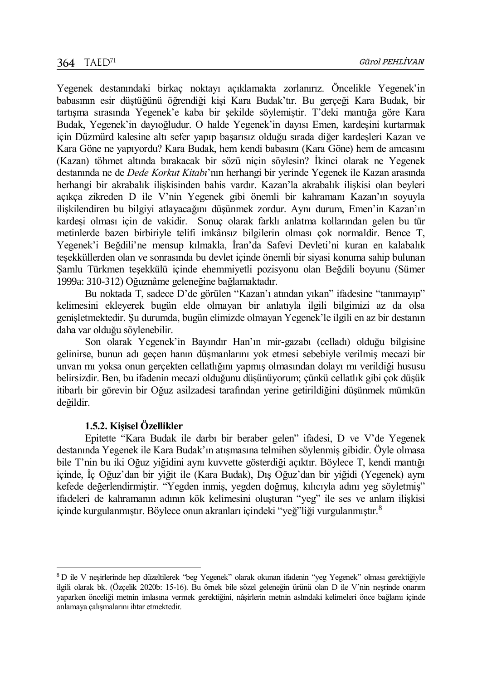Yegenek destanındaki birkaç noktayı açıklamakta zorlanırız. Öncelikle Yegenek'in babasının esir düştüğünü öğrendiği kişi Kara Budak'tır. Bu gerçeği Kara Budak, bir tartışma sırasında Yegenek'e kaba bir şekilde söylemiştir. T'deki mantığa göre Kara Budak, Yegenek'in dayıoğludur. O halde Yegenek'in dayısı Emen, kardeşini kurtarmak için Düzmürd kalesine altı sefer yapıp başarısız olduğu sırada diğer kardeşleri Kazan ve Kara Göne ne yapıyordu? Kara Budak, hem kendi babasını (Kara Göne) hem de amcasını (Kazan) töhmet altında bırakacak bir sözü niçin söylesin? İkinci olarak ne Yegenek destanında ne de *Dede Korkut Kitabı*'nın herhangi bir yerinde Yegenek ile Kazan arasında herhangi bir akrabalık ilişkisinden bahis vardır. Kazan'la akrabalık ilişkisi olan beyleri açıkça zikreden D ile V'nin Yegenek gibi önemli bir kahramanı Kazan'ın soyuyla ilişkilendiren bu bilgiyi atlayacağını düşünmek zordur. Aynı durum, Emen'in Kazan'ın kardeşi olması için de vakidir. Sonuç olarak farklı anlatma kollarından gelen bu tür metinlerde bazen birbiriyle telifi imkânsız bilgilerin olması çok normaldir. Bence T, Yegenek'i Beğdili'ne mensup kılmakla, İran'da Safevi Devleti'ni kuran en kalabalık teşekküllerden olan ve sonrasında bu devlet içinde önemli bir siyasi konuma sahip bulunan Şamlu Türkmen teşekkülü içinde ehemmiyetli pozisyonu olan Beğdili boyunu (Sümer 1999a: 310-312) Oğuznâme geleneğine bağlamaktadır.

Bu noktada T, sadece D'de görülen "Kazan'ı atından yıkan" ifadesine "tanımayıp" kelimesini ekleyerek bugün elde olmayan bir anlatıyla ilgili bilgimizi az da olsa genişletmektedir. Şu durumda, bugün elimizde olmayan Yegenek'le ilgili en az bir destanın daha var olduğu söylenebilir.

Son olarak Yegenek'in Bayındır Han'ın mir-gazabı (celladı) olduğu bilgisine gelinirse, bunun adı geçen hanın düşmanlarını yok etmesi sebebiyle verilmiş mecazi bir unvan mı yoksa onun gerçekten cellatlığını yapmış olmasından dolayı mı verildiği hususu belirsizdir. Ben, bu ifadenin mecazi olduğunu düşünüyorum; çünkü cellatlık gibi çok düşük itibarlı bir görevin bir Oğuz asilzadesi tarafından yerine getirildiğini düşünmek mümkün değildir.

## **1.5.2. Kişisel Özellikler**

 $\overline{a}$ 

Epitette "Kara Budak ile darbı bir beraber gelen" ifadesi, D ve V'de Yegenek destanında Yegenek ile Kara Budak'ın atışmasına telmihen söylenmiş gibidir. Öyle olmasa bile T'nin bu iki Oğuz yiğidini aynı kuvvette gösterdiği açıktır. Böylece T, kendi mantığı içinde, İç Oğuz'dan bir yiğit ile (Kara Budak), Dış Oğuz'dan bir yiğidi (Yegenek) aynı kefede değerlendirmiştir. "Yegden inmiş, yegden doğmuş, kılıcıyla adını yeg söyletmiş" ifadeleri de kahramanın adının kök kelimesini oluşturan "yeg" ile ses ve anlam ilişkisi içinde kurgulanmıştır. Böylece onun akranları içindeki "yeğ"liği vurgulanmıştır.<sup>8</sup>

<sup>8</sup> D ile V neşirlerinde hep düzeltilerek "beg Yegenek" olarak okunan ifadenin "yeg Yegenek" olması gerektiğiyle ilgili olarak bk. (Özçelik 2020b: 15-16). Bu örnek bile sözel geleneğin ürünü olan D ile V'nin neşrinde onarım yaparken önceliği metnin imlasına vermek gerektiğini, nâşirlerin metnin aslındaki kelimeleri önce bağlamı içinde anlamaya çalışmalarını ihtar etmektedir.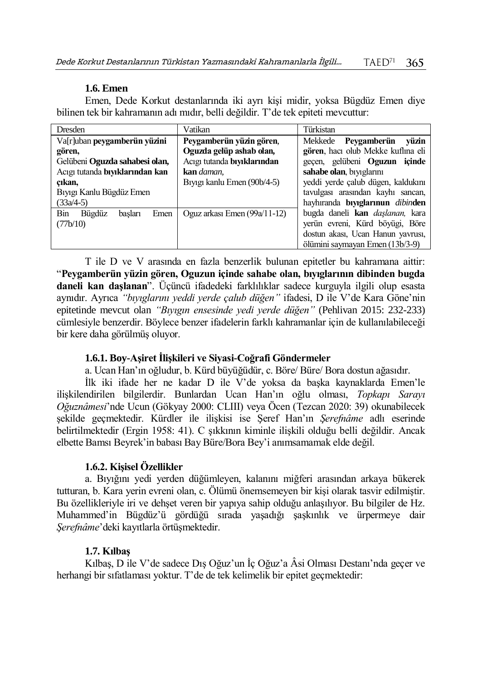## **1.6. Emen**

Emen, Dede Korkut destanlarında iki ayrı kişi midir, yoksa Bügdüz Emen diye bilinen tek bir kahramanın adı mıdır, belli değildir. T'de tek epiteti mevcuttur:

| <b>Dresden</b>                   | Vatikan                                  | Türkistan                               |
|----------------------------------|------------------------------------------|-----------------------------------------|
| Va[r]uban peygamberün yüzini     | Peygamberün yüzin gören,                 | vüzin<br>Mekkede Peygamberün            |
| gören,                           | Oguzda gelüp ashab olan,                 | gören, hacı olub Mekke kuflına eli      |
| Gelübeni Oguzda sahabesi olan,   | Acıgı tutanda bıyıklarından              | gecen, gelübeni <b>Oguzun</b> icinde    |
| Acıgı tutanda bıyıklarından kan  | <b>kan</b> daman.                        | sahabe olan, biyiglarını                |
| cıkan,                           | B <sub>1</sub> yigi kanlu Emen (90b/4-5) | yeddi yerde çalub dügen, kaldukını      |
| Bıyıgı Kanlu Bügdüz Emen         |                                          | tavulgası arasından kayhı sancan,       |
| $(33a/4-5)$                      |                                          | hayhıranda biyiglarınun dibinden        |
| Bin<br>Bügdüz<br>Emen<br>basları | Oguz arkası Emen (99a/11-12)             | bugda daneli kan <i>daslanan</i> , kara |
| (77b/10)                         |                                          | yerün evreni, Kürd böyügi, Böre         |
|                                  |                                          | dostun akası, Ucan Hanun yavrusı,       |
|                                  |                                          | ölümini saymayan Emen (13b/3-9)         |

T ile D ve V arasında en fazla benzerlik bulunan epitetler bu kahramana aittir: "**Peygamberün yüzin gören, Oguzun içinde sahabe olan, bıyıglarının dibinden bugda daneli kan daşlanan**". Üçüncü ifadedeki farklılıklar sadece kurguyla ilgili olup esasta aynıdır. Ayrıca *"bıyıglarını yeddi yerde çalub düğen"* ifadesi, D ile V'de Kara Göne'nin epitetinde mevcut olan *"Bıyıgın ensesinde yedi yerde düğen"* (Pehlivan 2015: 232-233) cümlesiyle benzerdir. Böylece benzer ifadelerin farklı kahramanlar için de kullanılabileceği bir kere daha görülmüş oluyor.

## **1.6.1. Boy-Aşiret İlişkileri ve Siyasi-Coğrafi Göndermeler**

a. Ucan Han'ın oğludur, b. Kürd büyüğüdür, c. Böre/ Büre/ Bora dostun ağasıdır.

İlk iki ifade her ne kadar D ile V'de yoksa da başka kaynaklarda Emen'le ilişkilendirilen bilgilerdir. Bunlardan Ucan Han'ın oğlu olması, *Topkapı Sarayı Oğuznâmesi*'nde Ucun (Gökyay 2000: CLIII) veya Öcen (Tezcan 2020: 39) okunabilecek şekilde geçmektedir. Kürdler ile ilişkisi ise Şeref Han'ın *Şerefnâme* adlı eserinde belirtilmektedir (Ergin 1958: 41). C şıkkının kiminle ilişkili olduğu belli değildir. Ancak elbette Bamsı Beyrek'in babası Bay Büre/Bora Bey'i anımsamamak elde değil.

## **1.6.2. Kişisel Özellikler**

a. Bıyığını yedi yerden düğümleyen, kalanını miğferi arasından arkaya bükerek tutturan, b. Kara yerin evreni olan, c. Ölümü önemsemeyen bir kişi olarak tasvir edilmiştir. Bu özellikleriyle iri ve dehşet veren bir yapıya sahip olduğu anlaşılıyor. Bu bilgiler de Hz. Muhammed'in Bügdüz'ü gördüğü sırada yaşadığı şaşkınlık ve ürpermeye dair *Şerefnâme*'deki kayıtlarla örtüşmektedir.

## **1.7. Kılbaş**

Kılbaş, D ile V'de sadece Dış Oğuz'un İç Oğuz'a Âsi Olması Destanı'nda geçer ve herhangi bir sıfatlaması yoktur. T'de de tek kelimelik bir epitet geçmektedir: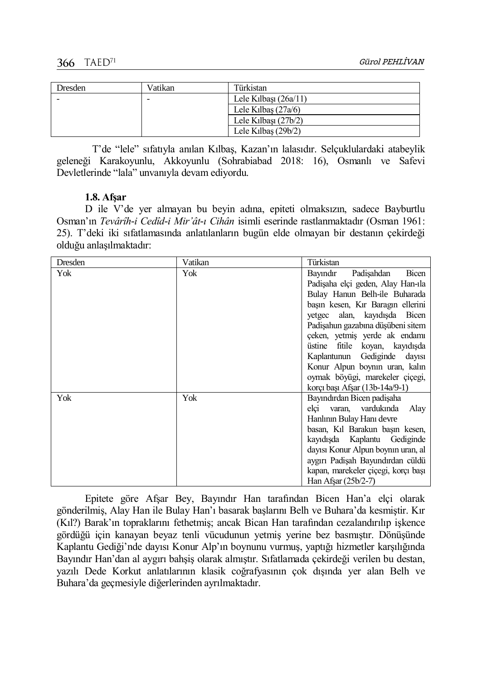| Dresden | Vatikan | Türkistan               |
|---------|---------|-------------------------|
|         |         | Lele Kilbasi $(26a/11)$ |
|         |         | Lele Kilbas $(27a/6)$   |
|         |         | Lele Kilbasi $(27b/2)$  |
|         |         | Lele Kilbas $(29b/2)$   |

T'de "lele" sıfatıyla anılan Kılbaş, Kazan'ın lalasıdır. Selçuklulardaki atabeylik geleneği Karakoyunlu, Akkoyunlu (Sohrabiabad 2018: 16), Osmanlı ve Safevi Devletlerinde "lala" unvanıyla devam ediyordu.

## **1.8. Afşar**

D ile V'de yer almayan bu beyin adına, epiteti olmaksızın, sadece Bayburtlu Osman'ın *Tevârîh-i Cedîd-i Mir'ât-ı Cihân* isimli eserinde rastlanmaktadır (Osman 1961: 25). T'deki iki sıfatlamasında anlatılanların bugün elde olmayan bir destanın çekirdeği olduğu anlaşılmaktadır:

| Dresden | Vatikan | Türkistan                           |
|---------|---------|-------------------------------------|
| Yok     | Yok     | Bayındır<br>Padişahdan<br>Bicen     |
|         |         | Padisaha elçi geden, Alay Han-ıla   |
|         |         | Bulay Hanun Belh-ile Buharada       |
|         |         | başın kesen, Kır Baragın ellerini   |
|         |         | yetgec alan, kayıdışda Bicen        |
|         |         | Padisahun gazabına düşübeni sitem   |
|         |         | çeken, yetmiş yerde ak endamı       |
|         |         | üstine fitile koyan, kayıdışda      |
|         |         | Kaplantunun Gediginde<br>dayısı     |
|         |         | Konur Alpun boynin uran, kalin      |
|         |         | oymak böyügi, marekeler çiçegi,     |
|         |         | korçı başı Afşar (13b-14a/9-1)      |
| Yok     | Yok     | Bayındırdan Bicen padişaha          |
|         |         | elçi varan, vardukında<br>Alay      |
|         |         | Hanlının Bulay Hanı devre           |
|         |         | basan, Kil Barakun başın kesen,     |
|         |         | kayıdışda Kaplantu Gediginde        |
|         |         | dayısı Konur Alpun boynın uran, al  |
|         |         | aygırı Padişah Bayundırdan cüldü    |
|         |         | kapan, marekeler çiçegi, korçı başı |
|         |         | Han Afsar (25b/2-7)                 |

Epitete göre Afşar Bey, Bayındır Han tarafından Bicen Han'a elçi olarak gönderilmiş, Alay Han ile Bulay Han'ı basarak başlarını Belh ve Buhara'da kesmiştir. Kır (Kıl?) Barak'ın topraklarını fethetmiş; ancak Bican Han tarafından cezalandırılıp işkence gördüğü için kanayan beyaz tenli vücudunun yetmiş yerine bez basmıştır. Dönüşünde Kaplantu Gediği'nde dayısı Konur Alp'ın boynunu vurmuş, yaptığı hizmetler karşılığında Bayındır Han'dan al aygırı bahşiş olarak almıştır. Sıfatlamada çekirdeği verilen bu destan, yazılı Dede Korkut anlatılarının klasik coğrafyasının çok dışında yer alan Belh ve Buhara'da geçmesiyle diğerlerinden ayrılmaktadır.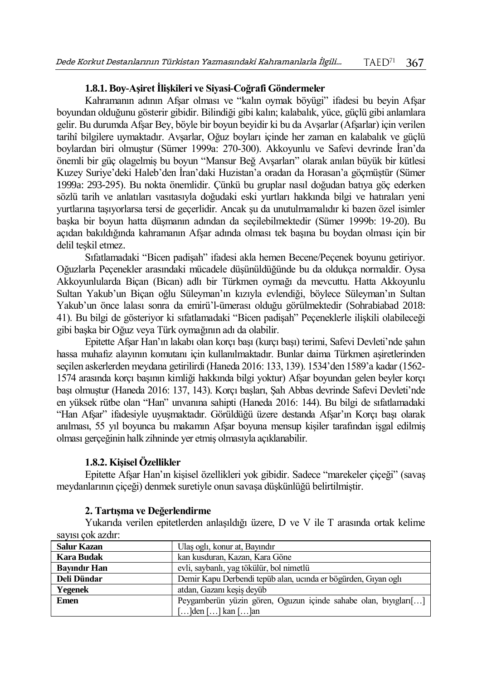## **1.8.1. Boy-Aşiret İlişkileri ve Siyasi-Coğrafi Göndermeler**

Kahramanın adının Afşar olması ve "kalın oymak böyügi" ifadesi bu beyin Afşar boyundan olduğunu gösterir gibidir. Bilindiği gibi kalın; kalabalık, yüce, güçlü gibi anlamlara gelir. Bu durumda Afşar Bey, böyle bir boyun beyidir ki bu da Avşarlar (Afşarlar) için verilen tarihî bilgilere uymaktadır. Avşarlar, Oğuz boyları içinde her zaman en kalabalık ve güçlü boylardan biri olmuştur (Sümer 1999a: 270-300). Akkoyunlu ve Safevi devrinde İran'da önemli bir güç olagelmiş bu boyun "Mansur Beğ Avşarları" olarak anılan büyük bir kütlesi Kuzey Suriye'deki Haleb'den İran'daki Huzistan'a oradan da Horasan'a göçmüştür (Sümer 1999a: 293-295). Bu nokta önemlidir. Çünkü bu gruplar nasıl doğudan batıya göç ederken sözlü tarih ve anlatıları vasıtasıyla doğudaki eski yurtları hakkında bilgi ve hatıraları yeni yurtlarına taşıyorlarsa tersi de geçerlidir. Ancak şu da unutulmamalıdır ki bazen özel isimler başka bir boyun hatta düşmanın adından da seçilebilmektedir (Sümer 1999b: 19-20). Bu açıdan bakıldığında kahramanın Afşar adında olması tek başına bu boydan olması için bir delil teşkil etmez.

Sıfatlamadaki "Bicen padişah" ifadesi akla hemen Becene/Peçenek boyunu getiriyor. Oğuzlarla Peçenekler arasındaki mücadele düşünüldüğünde bu da oldukça normaldir. Oysa Akkoyunlularda Biçan (Bican) adlı bir Türkmen oymağı da mevcuttu. Hatta Akkoyunlu Sultan Yakub'un Biçan oğlu Süleyman'ın kızıyla evlendiği, böylece Süleyman'ın Sultan Yakub'un önce lalası sonra da emirü'l-ümerası olduğu görülmektedir (Sohrabiabad 2018: 41). Bu bilgi de gösteriyor ki sıfatlamadaki "Bicen padişah" Peçeneklerle ilişkili olabileceği gibi başka bir Oğuz veya Türk oymağının adı da olabilir.

Epitette Afşar Han'ın lakabı olan korçı başı (kurçı başı) terimi, Safevi Devleti'nde şahın hassa muhafız alayının komutanı için kullanılmaktadır. Bunlar daima Türkmen aşiretlerinden seçilen askerlerden meydana getirilirdi (Haneda 2016: 133, 139). 1534'den 1589'a kadar (1562- 1574 arasında korçı başının kimliği hakkında bilgi yoktur) Afşar boyundan gelen beyler korçı başı olmuştur (Haneda 2016: 137, 143). Korçı başları, Şah Abbas devrinde Safevi Devleti'nde en yüksek rütbe olan "Han" unvanına sahipti (Haneda 2016: 144). Bu bilgi de sıfatlamadaki "Han Afşar" ifadesiyle uyuşmaktadır. Görüldüğü üzere destanda Afşar'ın Korçı başı olarak anılması, 55 yıl boyunca bu makamın Afşar boyuna mensup kişiler tarafından işgal edilmiş olması gerçeğinin halk zihninde yer etmiş olmasıyla açıklanabilir.

## **1.8.2. Kişisel Özellikler**

Epitette Afşar Han'ın kişisel özellikleri yok gibidir. Sadece "marekeler çiçeği" (savaş meydanlarının çiçeği) denmek suretiyle onun savaşa düşkünlüğü belirtilmiştir.

## **2. Tartışma ve Değerlendirme**

Yukarıda verilen epitetlerden anlaşıldığı üzere, D ve V ile T arasında ortak kelime sayısı çok azdır:

| <b>Salur Kazan</b>  | Ulaş oglı, konur at, Bayındır                                   |
|---------------------|-----------------------------------------------------------------|
| Kara Budak          | kan kusduran, Kazan, Kara Göne                                  |
| <b>Bayindir Han</b> | evli, saybanlı, yag tökülür, bol nimetlü                        |
| Deli Dündar         | Demir Kapu Derbendi tepüb alan, ucında er bögürden, Gıyan oglı  |
| Yegenek             | atdan, Gazanı kesis deyüb                                       |
| <b>Emen</b>         | Peygamberün yüzin gören, Oguzun içinde sahabe olan, bıyıgları[] |
|                     | []den [] kan []an]                                              |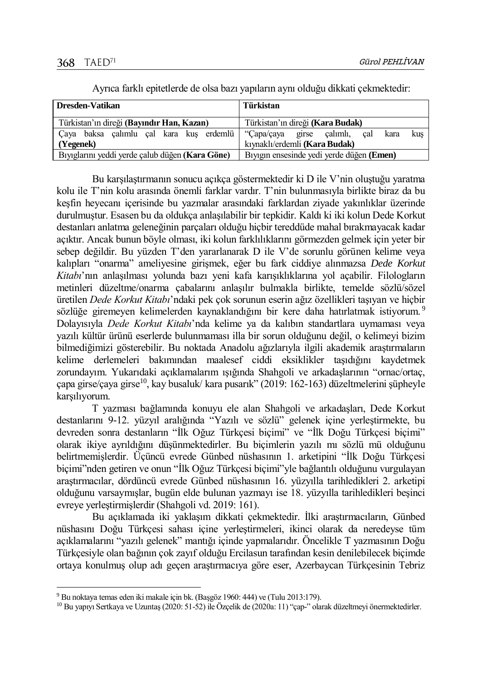| Dresden-Vatikan                                       | Türkistan                                 |
|-------------------------------------------------------|-------------------------------------------|
| Türkistan'ın direği (Bayındır Han, Kazan)             | Türkistan'ın direği ( <b>Kara Budak</b> ) |
| Çaya baksa çalımlu çal kara kuş erdemlü   ''Çapa/çaya | girse çalımlı, çal<br>kus<br>kara         |
| $\sqrt{Y}$ (Yegenek)                                  | kıynaklı/erdemli (Kara Budak)             |
| Bıyıglarını yeddi yerde çalub düğen (Kara Göne)       | Biyigin ensesinde yedi yerde düğen (Emen) |

Ayrıca farklı epitetlerde de olsa bazı yapıların aynı olduğu dikkati çekmektedir:

Bu karşılaştırmanın sonucu açıkça göstermektedir ki D ile V'nin oluştuğu yaratma kolu ile T'nin kolu arasında önemli farklar vardır. T'nin bulunmasıyla birlikte biraz da bu keşfin heyecanı içerisinde bu yazmalar arasındaki farklardan ziyade yakınlıklar üzerinde durulmuştur. Esasen bu da oldukça anlaşılabilir bir tepkidir. Kaldı ki iki kolun Dede Korkut destanları anlatma geleneğinin parçaları olduğu hiçbir tereddüde mahal bırakmayacak kadar açıktır. Ancak bunun böyle olması, iki kolun farklılıklarını görmezden gelmek için yeter bir sebep değildir. Bu yüzden T'den yararlanarak D ile V'de sorunlu görünen kelime veya kalıpları "onarma" ameliyesine girişmek, eğer bu fark ciddiye alınmazsa *Dede Korkut Kitabı*'nın anlaşılması yolunda bazı yeni kafa karışıklıklarına yol açabilir. Filologların metinleri düzeltme/onarma çabalarını anlaşılır bulmakla birlikte, temelde sözlü/sözel üretilen *Dede Korkut Kitabı*'ndaki pek çok sorunun eserin ağız özellikleri taşıyan ve hiçbir sözlüğe giremeyen kelimelerden kaynaklandığını bir kere daha hatırlatmak istiyorum.<sup>9</sup> Dolayısıyla *Dede Korkut Kitabı*'nda kelime ya da kalıbın standartlara uymaması veya yazılı kültür ürünü eserlerde bulunmaması illa bir sorun olduğunu değil, o kelimeyi bizim bilmediğimizi gösterebilir. Bu noktada Anadolu ağızlarıyla ilgili akademik araştırmaların kelime derlemeleri bakımından maalesef ciddi eksiklikler taşıdığını kaydetmek zorundayım. Yukarıdaki açıklamalarım ışığında Shahgoli ve arkadaşlarının "ornac/ortaç, çapa girse/çaya girse<sup>10</sup>, kay busaluk/ kara pusarık" (2019: 162-163) düzeltmelerini şüpheyle karşılıyorum.

T yazması bağlamında konuyu ele alan Shahgoli ve arkadaşları, Dede Korkut destanlarını 9-12. yüzyıl aralığında "Yazılı ve sözlü" gelenek içine yerleştirmekte, bu devreden sonra destanların "İlk Oğuz Türkçesi biçimi" ve "İlk Doğu Türkçesi biçimi" olarak ikiye ayrıldığını düşünmektedirler. Bu biçimlerin yazılı mı sözlü mü olduğunu belirtmemişlerdir. Üçüncü evrede Günbed nüshasının 1. arketipini "İlk Doğu Türkçesi biçimi"nden getiren ve onun "İlk Oğuz Türkçesi biçimi"yle bağlantılı olduğunu vurgulayan araştırmacılar, dördüncü evrede Günbed nüshasının 16. yüzyılla tarihledikleri 2. arketipi olduğunu varsaymışlar, bugün elde bulunan yazmayı ise 18. yüzyılla tarihledikleri beşinci evreye yerleştirmişlerdir (Shahgoli vd. 2019: 161).

Bu açıklamada iki yaklaşım dikkati çekmektedir. İlki araştırmacıların, Günbed nüshasını Doğu Türkçesi sahası içine yerleştirmeleri, ikinci olarak da neredeyse tüm açıklamalarını "yazılı gelenek" mantığı içinde yapmalarıdır. Öncelikle T yazmasının Doğu Türkçesiyle olan bağının çok zayıf olduğu Ercilasun tarafından kesin denilebilecek biçimde ortaya konulmuş olup adı geçen araştırmacıya göre eser, Azerbaycan Türkçesinin Tebriz

 $\overline{a}$ 

<sup>9</sup> Bu noktaya temas eden iki makale için bk. (Başgöz 1960: 444) ve (Tulu 2013:179).

<sup>10</sup> Bu yapıyı Sertkaya ve Uzuntaş (2020: 51-52) ile Özçelik de (2020a: 11) "çap-" olarak düzeltmeyi önermektedirler.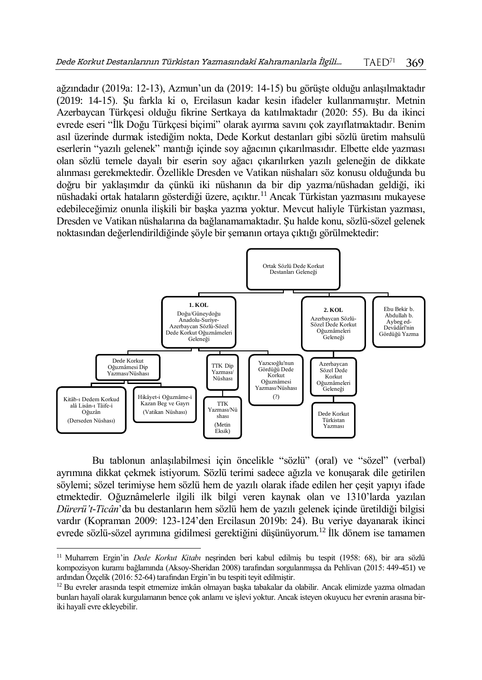ağzındadır (2019a: 12-13), Azmun'un da (2019: 14-15) bu görüşte olduğu anlaşılmaktadır (2019: 14-15). Şu farkla ki o, Ercilasun kadar kesin ifadeler kullanmamıştır. Metnin Azerbaycan Türkçesi olduğu fikrine Sertkaya da katılmaktadır (2020: 55). Bu da ikinci evrede eseri "İlk Doğu Türkçesi biçimi" olarak ayırma savını çok zayıflatmaktadır. Benim asıl üzerinde durmak istediğim nokta, Dede Korkut destanları gibi sözlü üretim mahsulü eserlerin "yazılı gelenek" mantığı içinde soy ağacının çıkarılmasıdır. Elbette elde yazması olan sözlü temele dayalı bir eserin soy ağacı çıkarılırken yazılı geleneğin de dikkate alınması gerekmektedir. Özellikle Dresden ve Vatikan nüshaları söz konusu olduğunda bu doğru bir yaklaşımdır da çünkü iki nüshanın da bir dip yazma/nüshadan geldiği, iki nüshadaki ortak hataların gösterdiği üzere, açıktır.<sup>11</sup> Ancak Türkistan yazmasını mukayese edebileceğimiz onunla ilişkili bir başka yazma yoktur. Mevcut haliyle Türkistan yazması, Dresden ve Vatikan nüshalarına da bağlanamamaktadır. Şu halde konu, sözlü-sözel gelenek noktasından değerlendirildiğinde şöyle bir şemanın ortaya çıktığı görülmektedir:



Bu tablonun anlaşılabilmesi için öncelikle "sözlü" (oral) ve "sözel" (verbal) ayrımına dikkat çekmek istiyorum. Sözlü terimi sadece ağızla ve konuşarak dile getirilen söylemi; sözel terimiyse hem sözlü hem de yazılı olarak ifade edilen her çeşit yapıyı ifade etmektedir. Oğuznâmelerle ilgili ilk bilgi veren kaynak olan ve 1310'larda yazılan *Dürerü't-Ticân*'da bu destanların hem sözlü hem de yazılı gelenek içinde üretildiği bilgisi vardır (Kopraman 2009: 123-124'den Ercilasun 2019b: 24). Bu veriye dayanarak ikinci evrede sözlü-sözel ayrımına gidilmesi gerektiğini düşünüyorum.<sup>12</sup> İlk dönem ise tamamen

 $\overline{a}$ 

<sup>11</sup> Muharrem Ergin'in *Dede Korkut Kitabı* neşrinden beri kabul edilmiş bu tespit (1958: 68), bir ara sözlü kompozisyon kuramı bağlamında (Aksoy-Sheridan 2008) tarafından sorgulanmışsa da Pehlivan (2015: 449-451) ve ardından Özçelik (2016: 52-64) tarafından Ergin'in bu tespiti teyit edilmiştir.

<sup>&</sup>lt;sup>12</sup> Bu evreler arasında tespit etmemize imkân olmayan başka tabakalar da olabilir. Ancak elimizde yazma olmadan bunları hayalî olarak kurgulamanın bence çok anlamı ve işlevi yoktur. Ancak isteyen okuyucu her evrenin arasına biriki hayalî evre ekleyebilir.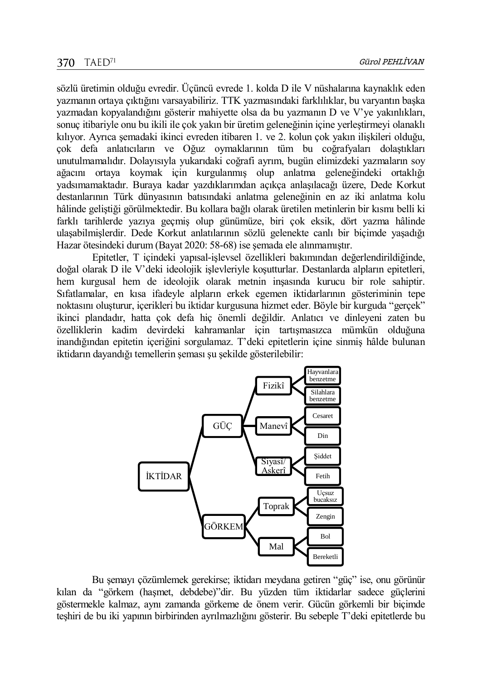sözlü üretimin olduğu evredir. Üçüncü evrede 1. kolda D ile V nüshalarına kaynaklık eden yazmanın ortaya çıktığını varsayabiliriz. TTK yazmasındaki farklılıklar, bu varyantın başka yazmadan kopyalandığını gösterir mahiyette olsa da bu yazmanın D ve V'ye yakınlıkları, sonuç itibariyle onu bu ikili ile çok yakın bir üretim geleneğinin içine yerleştirmeyi olanaklı kılıyor. Ayrıca şemadaki ikinci evreden itibaren 1. ve 2. kolun çok yakın ilişkileri olduğu, çok defa anlatıcıların ve Oğuz oymaklarının tüm bu coğrafyaları dolaştıkları unutulmamalıdır. Dolayısıyla yukarıdaki coğrafi ayrım, bugün elimizdeki yazmaların soy ağacını ortaya koymak için kurgulanmış olup anlatma geleneğindeki ortaklığı yadsımamaktadır. Buraya kadar yazdıklarımdan açıkça anlaşılacağı üzere, Dede Korkut destanlarının Türk dünyasının batısındaki anlatma geleneğinin en az iki anlatma kolu hâlinde geliştiği görülmektedir. Bu kollara bağlı olarak üretilen metinlerin bir kısmı belli ki farklı tarihlerde yazıya geçmiş olup günümüze, biri çok eksik, dört yazma hâlinde ulaşabilmişlerdir. Dede Korkut anlatılarının sözlü gelenekte canlı bir biçimde yaşadığı Hazar ötesindeki durum (Bayat 2020: 58-68) ise şemada ele alınmamıştır.

Epitetler, T içindeki yapısal-işlevsel özellikleri bakımından değerlendirildiğinde, doğal olarak D ile V'deki ideolojik işlevleriyle koşutturlar. Destanlarda alpların epitetleri, hem kurgusal hem de ideolojik olarak metnin inşasında kurucu bir role sahiptir. Sıfatlamalar, en kısa ifadeyle alpların erkek egemen iktidarlarının gösteriminin tepe noktasını oluşturur, içerikleri bu iktidar kurgusuna hizmet eder. Böyle bir kurguda "gerçek" ikinci plandadır, hatta çok defa hiç önemli değildir. Anlatıcı ve dinleyeni zaten bu özelliklerin kadim devirdeki kahramanlar için tartışmasızca mümkün olduğuna inandığından epitetin içeriğini sorgulamaz. T'deki epitetlerin içine sinmiş hâlde bulunan iktidarın dayandığı temellerin şeması şu şekilde gösterilebilir:



Bu şemayı çözümlemek gerekirse; iktidarı meydana getiren "güç" ise, onu görünür kılan da "görkem (haşmet, debdebe)"dir. Bu yüzden tüm iktidarlar sadece güçlerini göstermekle kalmaz, aynı zamanda görkeme de önem verir. Gücün görkemli bir biçimde teşhiri de bu iki yapının birbirinden ayrılmazlığını gösterir. Bu sebeple T'deki epitetlerde bu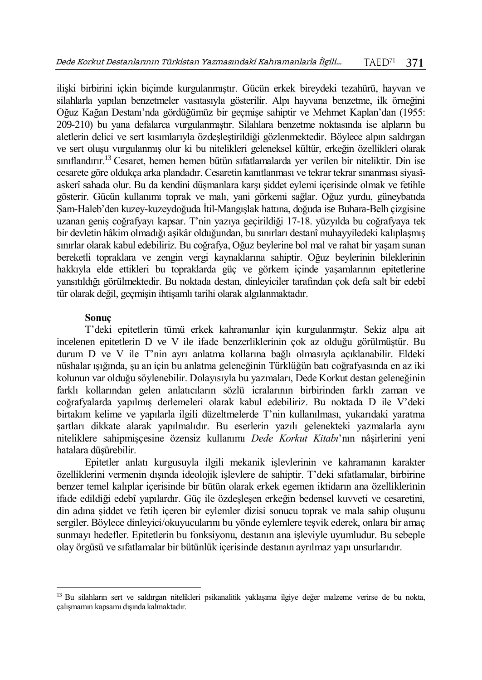ilişki birbirini içkin biçimde kurgulanmıştır. Gücün erkek bireydeki tezahürü, hayvan ve silahlarla yapılan benzetmeler vasıtasıyla gösterilir. Alpı hayvana benzetme, ilk örneğini Oğuz Kağan Destanı'nda gördüğümüz bir geçmişe sahiptir ve Mehmet Kaplan'dan (1955: 209-210) bu yana defalarca vurgulanmıştır. Silahlara benzetme noktasında ise alpların bu aletlerin delici ve sert kısımlarıyla özdeşleştirildiği gözlenmektedir. Böylece alpın saldırgan ve sert oluşu vurgulanmış olur ki bu nitelikleri geleneksel kültür, erkeğin özellikleri olarak sınıflandırır.<sup>13</sup> Cesaret, hemen hemen bütün sıfatlamalarda yer verilen bir niteliktir. Din ise cesarete göre oldukça arka plandadır. Cesaretin kanıtlanması ve tekrar tekrar sınanması siyasîaskerî sahada olur. Bu da kendini düşmanlara karşı şiddet eylemi içerisinde olmak ve fetihle gösterir. Gücün kullanımı toprak ve malı, yani görkemi sağlar. Oğuz yurdu, güneybatıda Şam-Haleb'den kuzey-kuzeydoğuda İtil-Mangışlak hattına, doğuda ise Buhara-Belh çizgisine uzanan geniş coğrafyayı kapsar. T'nin yazıya geçirildiği 17-18. yüzyılda bu coğrafyaya tek bir devletin hâkim olmadığı aşikâr olduğundan, bu sınırları destanî muhayyiledeki kalıplaşmış sınırlar olarak kabul edebiliriz. Bu coğrafya, Oğuz beylerine bol mal ve rahat bir yaşam sunan bereketli topraklara ve zengin vergi kaynaklarına sahiptir. Oğuz beylerinin bileklerinin hakkıyla elde ettikleri bu topraklarda güç ve görkem içinde yaşamlarının epitetlerine yansıtıldığı görülmektedir. Bu noktada destan, dinleyiciler tarafından çok defa salt bir edebî tür olarak değil, geçmişin ihtişamlı tarihi olarak algılanmaktadır.

#### **Sonuç**

 $\overline{a}$ 

T'deki epitetlerin tümü erkek kahramanlar için kurgulanmıştır. Sekiz alpa ait incelenen epitetlerin D ve V ile ifade benzerliklerinin çok az olduğu görülmüştür. Bu durum D ve V ile T'nin ayrı anlatma kollarına bağlı olmasıyla açıklanabilir. Eldeki nüshalar ışığında, şu an için bu anlatma geleneğinin Türklüğün batı coğrafyasında en az iki kolunun var olduğu söylenebilir. Dolayısıyla bu yazmaları, Dede Korkut destan geleneğinin farklı kollarından gelen anlatıcıların sözlü icralarının birbirinden farklı zaman ve coğrafyalarda yapılmış derlemeleri olarak kabul edebiliriz. Bu noktada D ile V'deki birtakım kelime ve yapılarla ilgili düzeltmelerde T'nin kullanılması, yukarıdaki yaratma şartları dikkate alarak yapılmalıdır. Bu eserlerin yazılı gelenekteki yazmalarla aynı niteliklere sahipmişçesine özensiz kullanımı *Dede Korkut Kitabı*'nın nâşirlerini yeni hatalara düşürebilir.

Epitetler anlatı kurgusuyla ilgili mekanik işlevlerinin ve kahramanın karakter özelliklerini vermenin dışında ideolojik işlevlere de sahiptir. T'deki sıfatlamalar, birbirine benzer temel kalıplar içerisinde bir bütün olarak erkek egemen iktidarın ana özelliklerinin ifade edildiği edebî yapılardır. Güç ile özdeşleşen erkeğin bedensel kuvveti ve cesaretini, din adına şiddet ve fetih içeren bir eylemler dizisi sonucu toprak ve mala sahip oluşunu sergiler. Böylece dinleyici/okuyucularını bu yönde eylemlere teşvik ederek, onlara bir amaç sunmayı hedefler. Epitetlerin bu fonksiyonu, destanın ana işleviyle uyumludur. Bu sebeple olay örgüsü ve sıfatlamalar bir bütünlük içerisinde destanın ayrılmaz yapı unsurlarıdır.

<sup>13</sup> Bu silahların sert ve saldırgan nitelikleri psikanalitik yaklaşıma ilgiye değer malzeme verirse de bu nokta, çalışmamın kapsamı dışında kalmaktadır.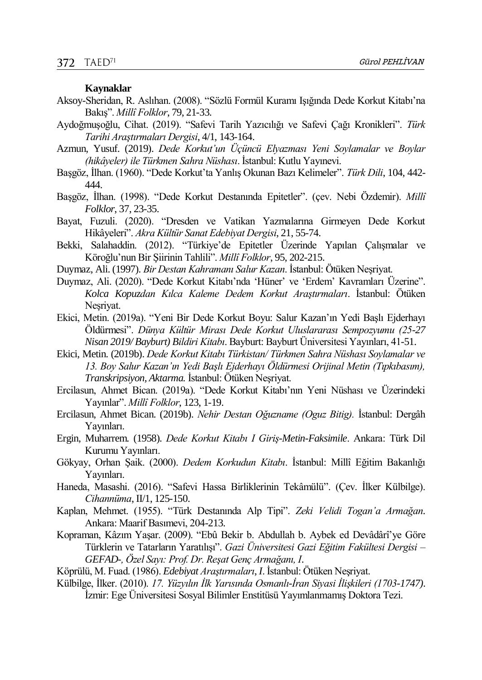#### **Kaynaklar**

- Aksoy-Sheridan, R. Aslıhan. (2008). "Sözlü Formül Kuramı Işığında Dede Korkut Kitabı'na Bakış". *Millî Folklor*, 79, 21-33.
- Aydoğmuşoğlu, Cihat. (2019). "Safevi Tarih Yazıcılığı ve Safevi Çağı Kronikleri". *Türk Tarihi Araştırmaları Dergisi*, 4/1, 143-164.
- Azmun, Yusuf. (2019). *Dede Korkut'un Üçüncü Elyazması Yeni Soylamalar ve Boylar (hikâyeler) ile Türkmen Sahra Nüshası*. İstanbul: Kutlu Yayınevi.
- Başgöz, İlhan. (1960). "Dede Korkut'ta Yanlış Okunan Bazı Kelimeler". *Türk Dili*, 104, 442- 444.
- Başgöz, İlhan. (1998). "Dede Korkut Destanında Epitetler". (çev. Nebi Özdemir). *Millî Folklor*, 37, 23-35.
- Bayat, Fuzuli. (2020). "Dresden ve Vatikan Yazmalarına Girmeyen Dede Korkut Hikâyeleri". *Akra Kültür Sanat Edebiyat Dergisi*, 21, 55-74.
- Bekki, Salahaddin. (2012). "Türkiye'de Epitetler Üzerinde Yapılan Çalışmalar ve Köroğlu'nun Bir Şiirinin Tahlili". *Millî Folklor*, 95, 202-215.
- Duymaz, Ali. (1997). *Bir Destan Kahramanı Salur Kazan*. İstanbul: Ötüken Neşriyat.
- Duymaz, Ali. (2020). "Dede Korkut Kitabı'nda 'Hüner' ve 'Erdem' Kavramları Üzerine". *Kolca Kopuzdan Kılca Kaleme Dedem Korkut Araştırmaları*. İstanbul: Ötüken Neşriyat.
- Ekici, Metin. (2019a). "Yeni Bir Dede Korkut Boyu: Salur Kazan'ın Yedi Başlı Ejderhayı Öldürmesi". *Dünya Kültür Mirası Dede Korkut Uluslararası Sempozyumu (25-27 Nisan 2019/ Bayburt) Bildiri Kitabı*. Bayburt: Bayburt Üniversitesi Yayınları, 41-51.
- Ekici, Metin. (2019b). *Dede Korkut Kitabı Türkistan/ Türkmen Sahra Nüshası Soylamalar ve 13. Boy Salur Kazan'ın Yedi Başlı Ejderhayı Öldürmesi Orijinal Metin (Tıpkıbasım), Transkripsiyon, Aktarma.* İstanbul: Ötüken Neşriyat.
- Ercilasun, Ahmet Bican. (2019a). "Dede Korkut Kitabı'nın Yeni Nüshası ve Üzerindeki Yayınlar". *Millî Folklor*, 123, 1-19.
- Ercilasun, Ahmet Bican. (2019b). *Nehir Destan Oğuzname (Oguz Bitig).* İstanbul: Dergâh Yayınları.
- Ergin, Muharrem. (1958). *Dede Korkut Kitabı I Giriş-Metin-Faksimile*. Ankara: Türk Dil Kurumu Yayınları.
- Gökyay, Orhan Şaik. (2000). *Dedem Korkudun Kitabı*. İstanbul: Millî Eğitim Bakanlığı Yayınları.
- Haneda, Masashi. (2016). "Safevi Hassa Birliklerinin Tekâmülü". (Çev. İlker Külbilge). *Cihannüma*, II/1, 125-150.
- Kaplan, Mehmet. (1955). "Türk Destanında Alp Tipi". *Zeki Velidi Togan'a Armağan*. Ankara: Maarif Basımevi, 204-213.
- Kopraman, Kâzım Yaşar. (2009). "Ebû Bekir b. Abdullah b. Aybek ed Devâdârî'ye Göre Türklerin ve Tatarların Yaratılışı". *Gazi Üniversitesi Gazi Eğitim Fakültesi Dergisi – GEFAD-, Özel Sayı: Prof. Dr. Reşat Genç Armağanı, I*.
- Köprülü, M. Fuad. (1986). *Edebiyat Araştırmaları*, *I*. İstanbul: Ötüken Neşriyat.
- Külbilge, İlker. (2010). *17. Yüzyılın İlk Yarısında Osmanlı-İran Siyasi İlişkileri (1703-1747)*. İzmir: Ege Üniversitesi Sosyal Bilimler Enstitüsü Yayımlanmamış Doktora Tezi.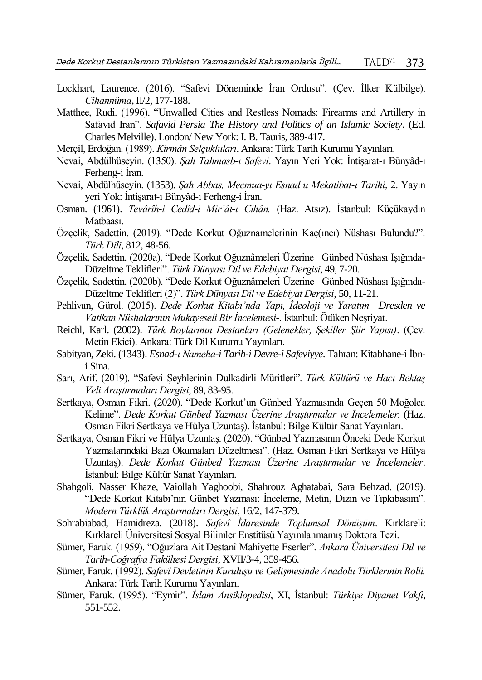- Lockhart, Laurence. (2016). "Safevi Döneminde İran Ordusu". (Çev. İlker Külbilge). *Cihannüma*, II/2, 177-188.
- Matthee, Rudi. (1996). "Unwalled Cities and Restless Nomads: Firearms and Artillery in Safavid Iran". *Safavid Persia The History and Politics of an Islamic Society*. (Ed. Charles Melville). London/ New York: I. B. Tauris, 389-417.
- Merçil, Erdoğan. (1989). *Kirmân Selçukluları*. Ankara: Türk Tarih Kurumu Yayınları.
- Nevai, Abdülhüseyin. (1350). *Şah Tahmasb-ı Safevi*. Yayın Yeri Yok: İntişarat-ı Bünyâd-ı Ferheng-i İran.
- Nevai, Abdülhüseyin. (1353). *Şah Abbas, Mecmua-yı Esnad u Mekatibat-ı Tarihi*, 2. Yayın yeri Yok: İntişarat-ı Bünyâd-ı Ferheng-i İran.
- Osman. (1961). *Tevârîh-i Cedîd-i Mir'ât-ı Cihân.* (Haz. Atsız). İstanbul: Küçükaydın Matbaası.
- Özçelik, Sadettin. (2019). "Dede Korkut Oğuznamelerinin Kaç(ıncı) Nüshası Bulundu?". *Türk Dili*, 812, 48-56.
- Özçelik, Sadettin. (2020a). "Dede Korkut Oğuznâmeleri Üzerine –Günbed Nüshası Işığında-Düzeltme Teklifleri". *Türk Dünyası Dil ve Edebiyat Dergisi*, 49, 7-20.
- Özçelik, Sadettin. (2020b). "Dede Korkut Oğuznâmeleri Üzerine –Günbed Nüshası Işığında-Düzeltme Teklifleri (2)". *Türk Dünyası Dil ve Edebiyat Dergisi*, 50, 11-21.
- Pehlivan, Gürol. (2015). *Dede Korkut Kitabı'nda Yapı, İdeoloji ve Yaratım –Dresden ve Vatikan Nüshalarının Mukayeseli Bir İncelemesi-*. İstanbul: Ötüken Neşriyat.
- Reichl, Karl. (2002). *Türk Boylarının Destanları (Gelenekler, Şekiller Şiir Yapısı)*. (Çev. Metin Ekici). Ankara: Türk Dil Kurumu Yayınları.
- Sabityan, Zeki. (1343). *Esnad-ı Nameha-i Tarih-i Devre-i Safeviyye*. Tahran: Kitabhane-i İbni Sina.
- Sarı, Arif. (2019). "Safevi Şeyhlerinin Dulkadirli Müritleri". *Türk Kültürü ve Hacı Bektaş Veli Araştırmaları Dergisi*, 89, 83-95.
- Sertkaya, Osman Fikri. (2020). "Dede Korkut'un Günbed Yazmasında Geçen 50 Moğolca Kelime". *Dede Korkut Günbed Yazması Üzerine Araştırmalar ve İncelemeler.* (Haz. Osman Fikri Sertkaya ve Hülya Uzuntaş). İstanbul: Bilge Kültür Sanat Yayınları.
- Sertkaya, Osman Fikri ve Hülya Uzuntaş. (2020). "Günbed Yazmasının Önceki Dede Korkut Yazmalarındaki Bazı Okumaları Düzeltmesi". (Haz. Osman Fikri Sertkaya ve Hülya Uzuntaş). *Dede Korkut Günbed Yazması Üzerine Araştırmalar ve İncelemeler*. İstanbul: Bilge Kültür Sanat Yayınları.
- Shahgoli, Nasser Khaze, Vaiollah Yaghoobi, Shahrouz Aghatabai, Sara Behzad. (2019). "Dede Korkut Kitabı'nın Günbet Yazması: İnceleme, Metin, Dizin ve Tıpkıbasım". *Modern Türklük Araştırmaları Dergisi*, 16/2, 147-379.
- Sohrabiabad, Hamidreza. (2018). *Safevî İdaresinde Toplumsal Dönüşüm*. Kırklareli: Kırklareli Üniversitesi Sosyal Bilimler Enstitüsü Yayımlanmamış Doktora Tezi.
- Sümer, Faruk. (1959). "Oğuzlara Ait Destanî Mahiyette Eserler". *Ankara Üniversitesi Dil ve Tarih-Coğrafya Fakültesi Dergisi*, XVII/3-4, 359-456.
- Sümer, Faruk. (1992). *Safevî Devletinin Kuruluşu ve Gelişmesinde Anadolu Türklerinin Rolü.* Ankara: Türk Tarih Kurumu Yayınları.
- Sümer, Faruk. (1995). "Eymir". *İslam Ansiklopedisi*, XI, İstanbul: *Türkiye Diyanet Vakfı*, 551-552.